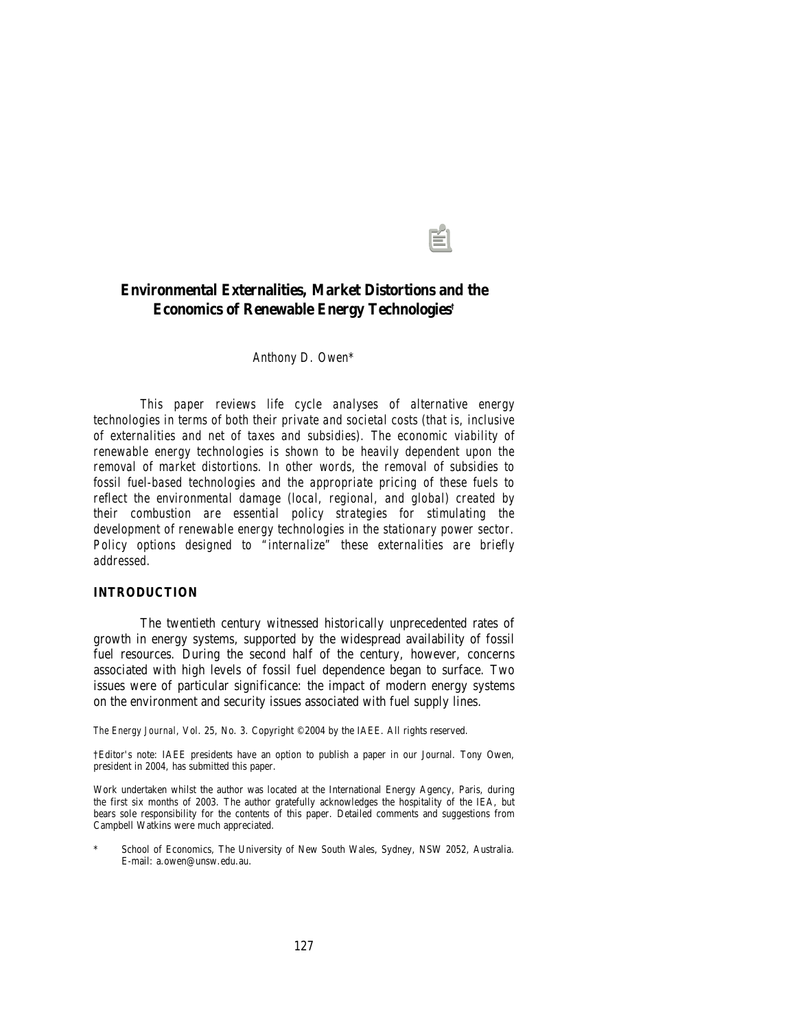# **Environmental Externalities, Market Distortions and the Economics of Renewable Energy Technologies†**

*Anthony D. Owen\**

*This paper reviews life cycle analyses of alternative energy technologies in terms of both their private and societal costs (that is, inclusive of externalities and net of taxes and subsidies). The economic viability of renewable energy technologies is shown to be heavily dependent upon the removal of market distortions. In other words, the removal of subsidies to fossil fuel-based technologies and the appropriate pricing of these fuels to reflect the environmental damage (local, regional, and global) created by their combustion are essential policy strategies for stimulating the development of renewable energy technologies in the stationary power sector. Policy options designed to "internalize" these externalities are briefly addressed.*

#### **INTRODUCTION**

The twentieth century witnessed historically unprecedented rates of growth in energy systems, supported by the widespread availability of fossil fuel resources. During the second half of the century, however, concerns associated with high levels of fossil fuel dependence began to surface. Two issues were of particular significance: the impact of modern energy systems on the environment and security issues associated with fuel supply lines.

*The Energy Journal*, Vol. 25, No. 3. Copyright © 2004 by the IAEE. All rights reserved.

†Editor's note: IAEE presidents have an option to publish a paper in our Journal. Tony Owen, president in 2004, has submitted this paper.

Work undertaken whilst the author was located at the International Energy Agency, Paris, during the first six months of 2003. The author gratefully acknowledges the hospitality of the IEA, but bears sole responsibility for the contents of this paper. Detailed comments and suggestions from Campbell Watkins were much appreciated.

\* School of Economics, The University of New South Wales, Sydney, NSW 2052, Australia. E-mail: a.owen@unsw.edu.au.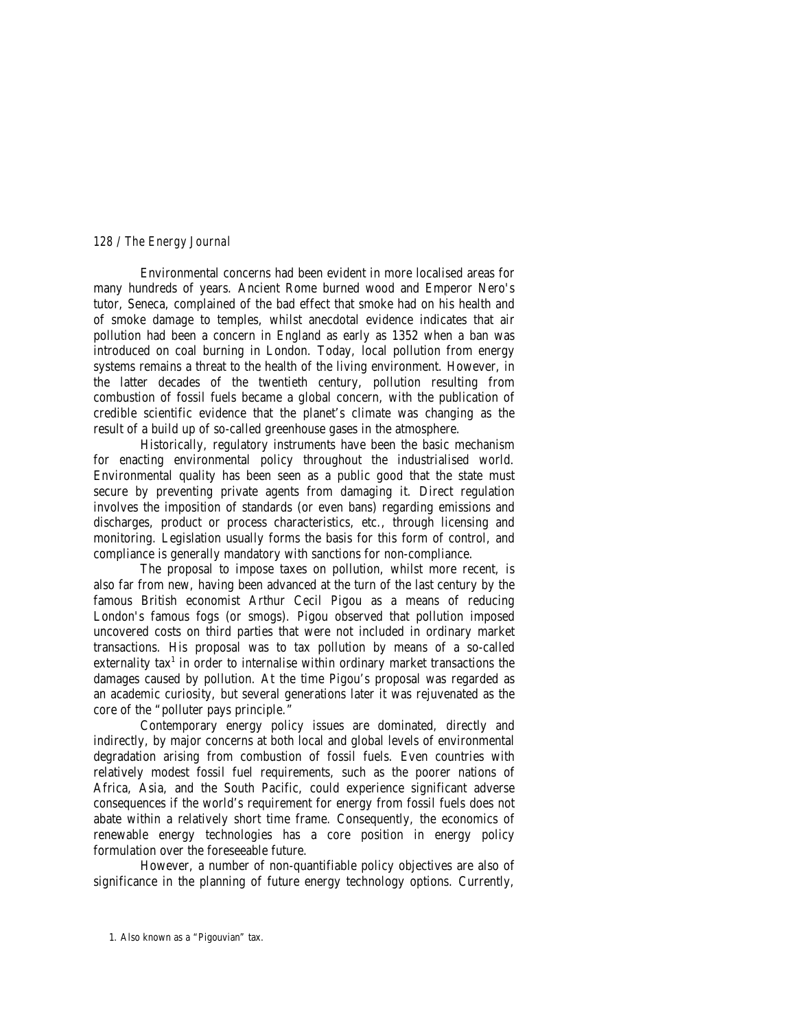Environmental concerns had been evident in more localised areas for many hundreds of years. Ancient Rome burned wood and Emperor Nero's tutor, Seneca, complained of the bad effect that smoke had on his health and of smoke damage to temples, whilst anecdotal evidence indicates that air pollution had been a concern in England as early as 1352 when a ban was introduced on coal burning in London. Today, local pollution from energy systems remains a threat to the health of the living environment. However, in the latter decades of the twentieth century, pollution resulting from combustion of fossil fuels became a global concern, with the publication of credible scientific evidence that the planet's climate was changing as the result of a build up of so-called greenhouse gases in the atmosphere.

Historically, regulatory instruments have been the basic mechanism for enacting environmental policy throughout the industrialised world. Environmental quality has been seen as a public good that the state must secure by preventing private agents from damaging it. Direct regulation involves the imposition of standards (or even bans) regarding emissions and discharges, product or process characteristics, etc., through licensing and monitoring. Legislation usually forms the basis for this form of control, and compliance is generally mandatory with sanctions for non-compliance.

The proposal to impose taxes on pollution, whilst more recent, is also far from new, having been advanced at the turn of the last century by the famous British economist Arthur Cecil Pigou as a means of reducing London's famous fogs (or smogs). Pigou observed that pollution imposed uncovered costs on third parties that were not included in ordinary market transactions. His proposal was to tax pollution by means of a so-called externality tax<sup>1</sup> in order to internalise within ordinary market transactions the damages caused by pollution. At the time Pigou's proposal was regarded as an academic curiosity, but several generations later it was rejuvenated as the core of the "polluter pays principle."

Contemporary energy policy issues are dominated, directly and indirectly, by major concerns at both local and global levels of environmental degradation arising from combustion of fossil fuels. Even countries with relatively modest fossil fuel requirements, such as the poorer nations of Africa, Asia, and the South Pacific, could experience significant adverse consequences if the world's requirement for energy from fossil fuels does not abate within a relatively short time frame. Consequently, the economics of renewable energy technologies has a core position in energy policy formulation over the foreseeable future.

However, a number of non-quantifiable policy objectives are also of significance in the planning of future energy technology options. Currently,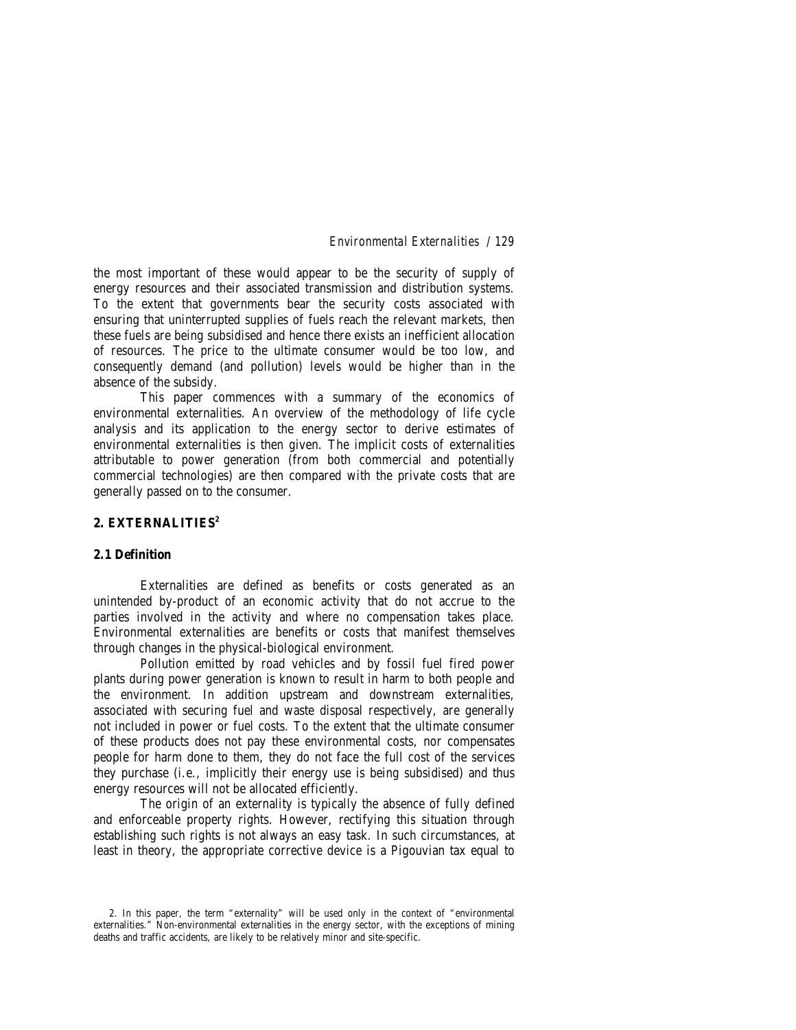the most important of these would appear to be the security of supply of energy resources and their associated transmission and distribution systems. To the extent that governments bear the security costs associated with ensuring that uninterrupted supplies of fuels reach the relevant markets, then these fuels are being subsidised and hence there exists an inefficient allocation of resources. The price to the ultimate consumer would be too low, and consequently demand (and pollution) levels would be higher than in the absence of the subsidy.

This paper commences with a summary of the economics of environmental externalities. An overview of the methodology of life cycle analysis and its application to the energy sector to derive estimates of environmental externalities is then given. The implicit costs of externalities attributable to power generation (from both commercial and potentially commercial technologies) are then compared with the private costs that are generally passed on to the consumer.

# **2. EXTERNALITIES<sup>2</sup>**

### **2.1 Definition**

Externalities are defined as benefits or costs generated as an unintended by-product of an economic activity that do not accrue to the parties involved in the activity and where no compensation takes place. Environmental externalities are benefits or costs that manifest themselves through changes in the physical-biological environment.

Pollution emitted by road vehicles and by fossil fuel fired power plants during power generation is known to result in harm to both people and the environment. In addition upstream and downstream externalities, associated with securing fuel and waste disposal respectively, are generally not included in power or fuel costs. To the extent that the ultimate consumer of these products does not pay these environmental costs, nor compensates people for harm done to them, they do not face the full cost of the services they purchase (i.e., implicitly their energy use is being subsidised) and thus energy resources will not be allocated efficiently.

The origin of an externality is typically the absence of fully defined and enforceable property rights. However, rectifying this situation through establishing such rights is not always an easy task. In such circumstances, at least in theory, the appropriate corrective device is a Pigouvian tax equal to

 <sup>2.</sup> In this paper, the term "externality" will be used only in the context of "environmental externalities." Non-environmental externalities in the energy sector, with the exceptions of mining deaths and traffic accidents, are likely to be relatively minor and site-specific.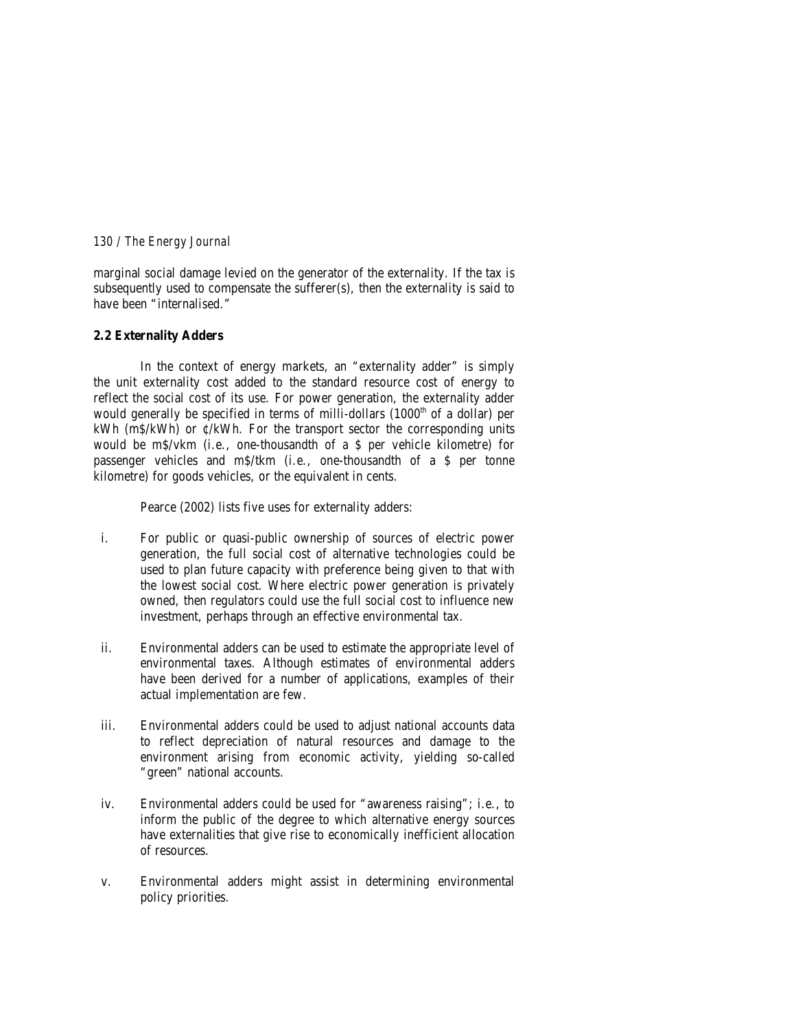marginal social damage levied on the generator of the externality. If the tax is subsequently used to compensate the sufferer(s), then the externality is said to have been "internalised."

# **2.2 Externality Adders**

In the context of energy markets, an "externality adder" is simply the unit externality cost added to the standard resource cost of energy to reflect the social cost of its use. For power generation, the externality adder would generally be specified in terms of milli-dollars  $(1000<sup>th</sup>$  of a dollar) per kWh  $(m$/kWh)$  or  $c/kWh$ . For the transport sector the corresponding units would be m\$/vkm (i.e., one-thousandth of a \$ per vehicle kilometre) for passenger vehicles and m\$/tkm (i.e., one-thousandth of a \$ per tonne kilometre) for goods vehicles, or the equivalent in cents.

Pearce (2002) lists five uses for externality adders:

- i. For public or quasi-public ownership of sources of electric power generation, the full social cost of alternative technologies could be used to plan future capacity with preference being given to that with the lowest social cost. Where electric power generation is privately owned, then regulators could use the full social cost to influence new investment, perhaps through an effective environmental tax.
- ii. Environmental adders can be used to estimate the appropriate level of environmental taxes. Although estimates of environmental adders have been derived for a number of applications, examples of their actual implementation are few.
- iii. Environmental adders could be used to adjust national accounts data to reflect depreciation of natural resources and damage to the environment arising from economic activity, yielding so-called "green" national accounts.
- iv. Environmental adders could be used for "awareness raising"; i.e., to inform the public of the degree to which alternative energy sources have externalities that give rise to economically inefficient allocation of resources.
- v. Environmental adders might assist in determining environmental policy priorities.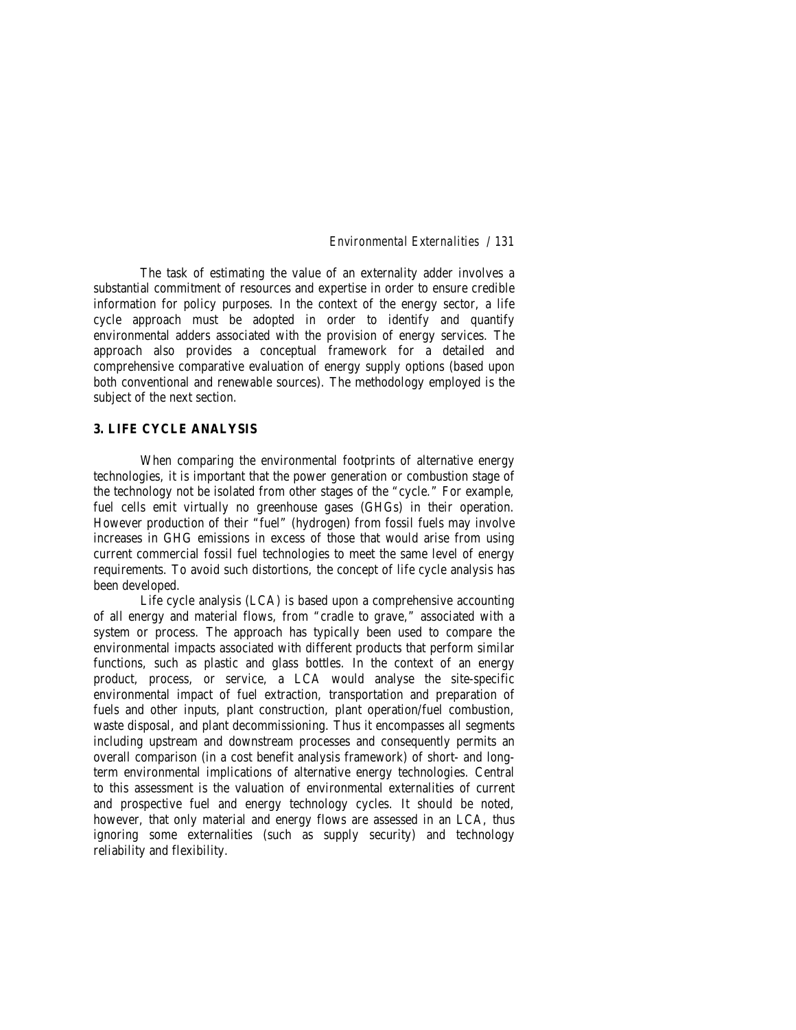The task of estimating the value of an externality adder involves a substantial commitment of resources and expertise in order to ensure credible information for policy purposes. In the context of the energy sector, a life cycle approach must be adopted in order to identify and quantify environmental adders associated with the provision of energy services. The approach also provides a conceptual framework for a detailed and comprehensive comparative evaluation of energy supply options (based upon both conventional and renewable sources). The methodology employed is the subject of the next section.

### **3. LIFE CYCLE ANALYSIS**

When comparing the environmental footprints of alternative energy technologies, it is important that the power generation or combustion stage of the technology not be isolated from other stages of the "cycle." For example, fuel cells emit virtually no greenhouse gases (GHGs) in their operation. However production of their "fuel" (hydrogen) from fossil fuels may involve increases in GHG emissions in excess of those that would arise from using current commercial fossil fuel technologies to meet the same level of energy requirements. To avoid such distortions, the concept of life cycle analysis has been developed.

Life cycle analysis (LCA) is based upon a comprehensive accounting of all energy and material flows, from "cradle to grave," associated with a system or process. The approach has typically been used to compare the environmental impacts associated with different products that perform similar functions, such as plastic and glass bottles. In the context of an energy product, process, or service, a LCA would analyse the site-specific environmental impact of fuel extraction, transportation and preparation of fuels and other inputs, plant construction, plant operation/fuel combustion, waste disposal, and plant decommissioning. Thus it encompasses all segments including upstream and downstream processes and consequently permits an overall comparison (in a cost benefit analysis framework) of short- and longterm environmental implications of alternative energy technologies. Central to this assessment is the valuation of environmental externalities of current and prospective fuel and energy technology cycles. It should be noted, however, that only material and energy flows are assessed in an LCA, thus ignoring some externalities (such as supply security) and technology reliability and flexibility.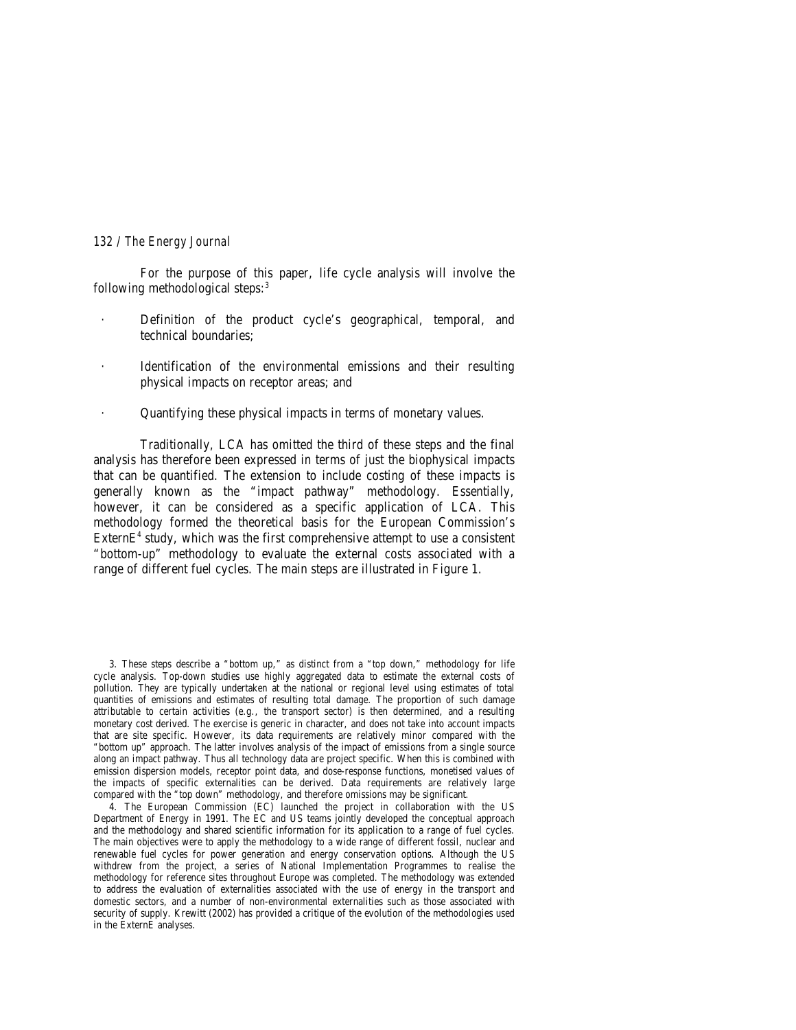### *132 / The Energy Journal*

For the purpose of this paper, life cycle analysis will involve the following methodological steps:<sup>3</sup>

- Definition of the product cycle's geographical, temporal, and technical boundaries;
- Identification of the environmental emissions and their resulting physical impacts on receptor areas; and
	- · Quantifying these physical impacts in terms of monetary values.

Traditionally, LCA has omitted the third of these steps and the final analysis has therefore been expressed in terms of just the biophysical impacts that can be quantified. The extension to include costing of these impacts is generally known as the "impact pathway" methodology. Essentially, however, it can be considered as a specific application of LCA. This methodology formed the theoretical basis for the European Commission's  $\text{Extern} \mathbb{E}^4$  study, which was the first comprehensive attempt to use a consistent "bottom-up" methodology to evaluate the external costs associated with a range of different fuel cycles. The main steps are illustrated in Figure 1.

 3. These steps describe a "bottom up," as distinct from a "top down," methodology for life cycle analysis. Top-down studies use highly aggregated data to estimate the external costs of pollution. They are typically undertaken at the national or regional level using estimates of total quantities of emissions and estimates of resulting total damage. The proportion of such damage attributable to certain activities (e.g., the transport sector) is then determined, and a resulting monetary cost derived. The exercise is generic in character, and does not take into account impacts that are site specific. However, its data requirements are relatively minor compared with the "bottom up" approach. The latter involves analysis of the impact of emissions from a single source along an impact pathway. Thus all technology data are project specific. When this is combined with emission dispersion models, receptor point data, and dose-response functions, monetised values of the impacts of specific externalities can be derived. Data requirements are relatively large compared with the "top down" methodology, and therefore omissions may be significant.

 4. The European Commission (EC) launched the project in collaboration with the US Department of Energy in 1991. The EC and US teams jointly developed the conceptual approach and the methodology and shared scientific information for its application to a range of fuel cycles. The main objectives were to apply the methodology to a wide range of different fossil, nuclear and renewable fuel cycles for power generation and energy conservation options. Although the US withdrew from the project, a series of National Implementation Programmes to realise the methodology for reference sites throughout Europe was completed. The methodology was extended to address the evaluation of externalities associated with the use of energy in the transport and domestic sectors, and a number of non-environmental externalities such as those associated with security of supply. Krewitt (2002) has provided a critique of the evolution of the methodologies used in the ExternE analyses.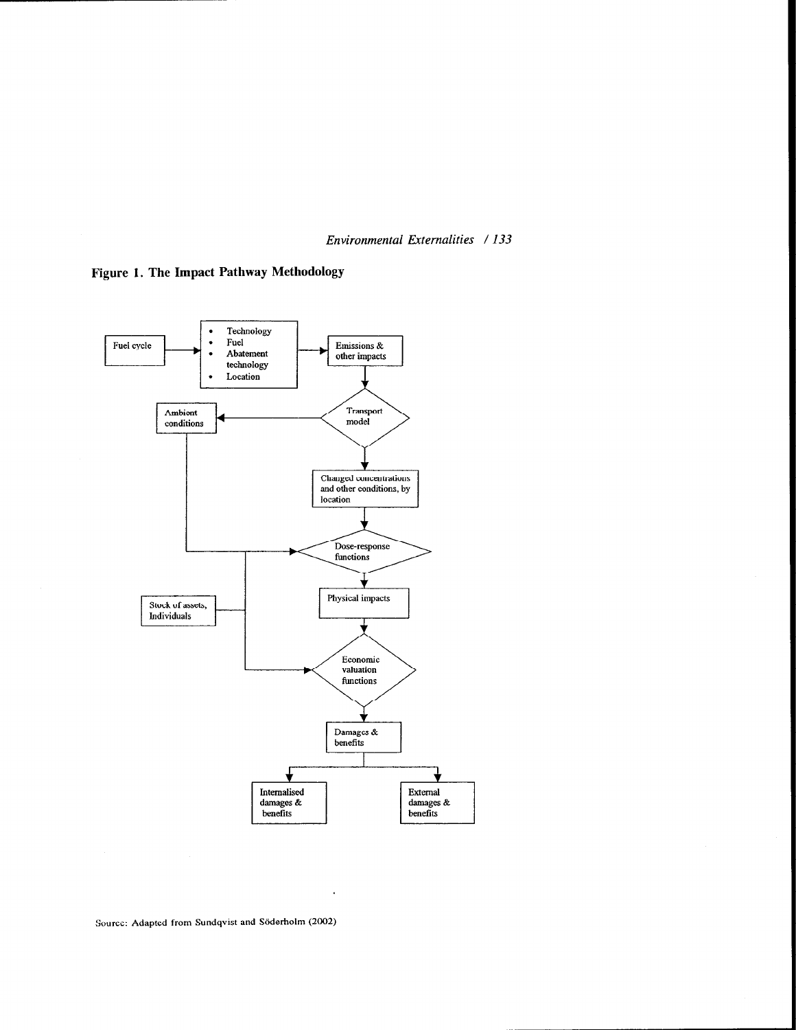

**Figure 1. The Impact Pathway Methodology** 

Source: Adapted from Sundqvist and Söderholm (2002)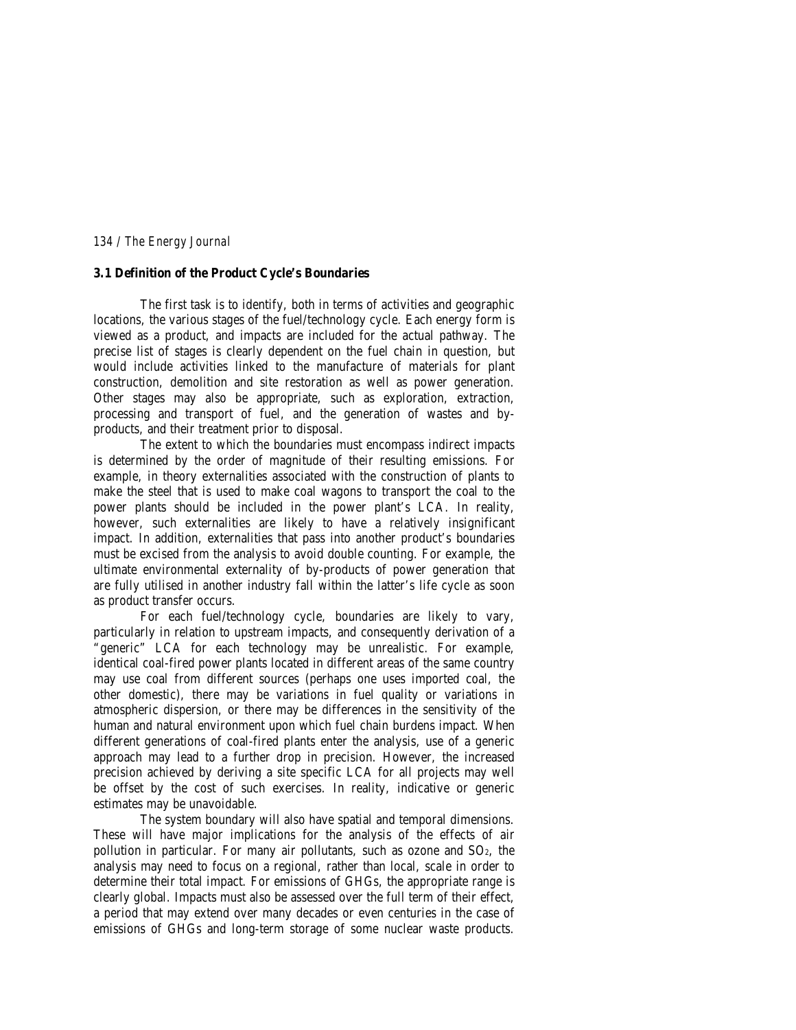# **3.1 Definition of the Product Cycle's Boundaries**

The first task is to identify, both in terms of activities and geographic locations, the various stages of the fuel/technology cycle. Each energy form is viewed as a product, and impacts are included for the actual pathway. The precise list of stages is clearly dependent on the fuel chain in question, but would include activities linked to the manufacture of materials for plant construction, demolition and site restoration as well as power generation. Other stages may also be appropriate, such as exploration, extraction, processing and transport of fuel, and the generation of wastes and byproducts, and their treatment prior to disposal.

The extent to which the boundaries must encompass indirect impacts is determined by the order of magnitude of their resulting emissions. For example, in theory externalities associated with the construction of plants to make the steel that is used to make coal wagons to transport the coal to the power plants should be included in the power plant's LCA. In reality, however, such externalities are likely to have a relatively insignificant impact. In addition, externalities that pass into another product's boundaries must be excised from the analysis to avoid double counting. For example, the ultimate environmental externality of by-products of power generation that are fully utilised in another industry fall within the latter's life cycle as soon as product transfer occurs.

For each fuel/technology cycle, boundaries are likely to vary, particularly in relation to upstream impacts, and consequently derivation of a "generic" LCA for each technology may be unrealistic. For example, identical coal-fired power plants located in different areas of the same country may use coal from different sources (perhaps one uses imported coal, the other domestic), there may be variations in fuel quality or variations in atmospheric dispersion, or there may be differences in the sensitivity of the human and natural environment upon which fuel chain burdens impact. When different generations of coal-fired plants enter the analysis, use of a generic approach may lead to a further drop in precision. However, the increased precision achieved by deriving a site specific LCA for all projects may well be offset by the cost of such exercises. In reality, indicative or generic estimates may be unavoidable.

The system boundary will also have spatial and temporal dimensions. These will have major implications for the analysis of the effects of air pollution in particular. For many air pollutants, such as ozone and  $SO<sub>2</sub>$ , the analysis may need to focus on a regional, rather than local, scale in order to determine their total impact. For emissions of GHGs, the appropriate range is clearly global. Impacts must also be assessed over the full term of their effect, a period that may extend over many decades or even centuries in the case of emissions of GHGs and long-term storage of some nuclear waste products.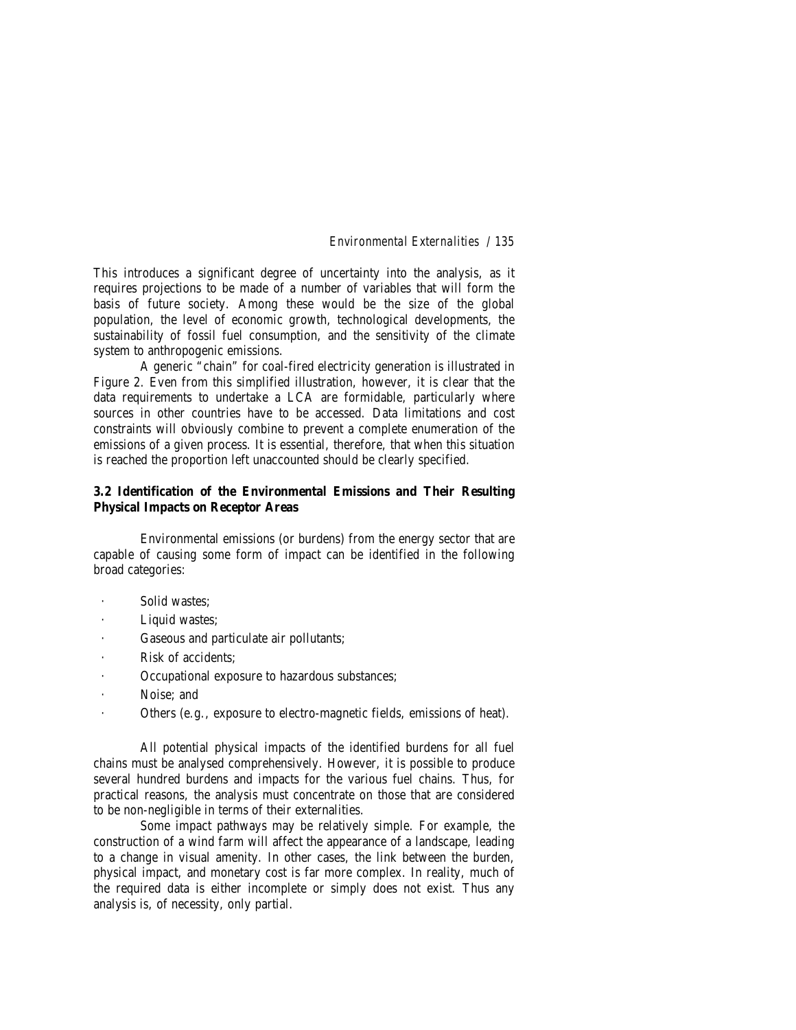This introduces a significant degree of uncertainty into the analysis, as it requires projections to be made of a number of variables that will form the basis of future society. Among these would be the size of the global population, the level of economic growth, technological developments, the sustainability of fossil fuel consumption, and the sensitivity of the climate system to anthropogenic emissions.

A generic "chain" for coal-fired electricity generation is illustrated in Figure 2. Even from this simplified illustration, however, it is clear that the data requirements to undertake a LCA are formidable, particularly where sources in other countries have to be accessed. Data limitations and cost constraints will obviously combine to prevent a complete enumeration of the emissions of a given process. It is essential, therefore, that when this situation is reached the proportion left unaccounted should be clearly specified.

### **3.2 Identification of the Environmental Emissions and Their Resulting Physical Impacts on Receptor Areas**

Environmental emissions (or burdens) from the energy sector that are capable of causing some form of impact can be identified in the following broad categories:

- Solid wastes:
- Liquid wastes:
- Gaseous and particulate air pollutants;
- Risk of accidents;
- Occupational exposure to hazardous substances;
- Noise: and
- Others (e.g., exposure to electro-magnetic fields, emissions of heat).

All potential physical impacts of the identified burdens for all fuel chains must be analysed comprehensively. However, it is possible to produce several hundred burdens and impacts for the various fuel chains. Thus, for practical reasons, the analysis must concentrate on those that are considered to be non-negligible in terms of their externalities.

Some impact pathways may be relatively simple. For example, the construction of a wind farm will affect the appearance of a landscape, leading to a change in visual amenity. In other cases, the link between the burden, physical impact, and monetary cost is far more complex. In reality, much of the required data is either incomplete or simply does not exist. Thus any analysis is, of necessity, only partial.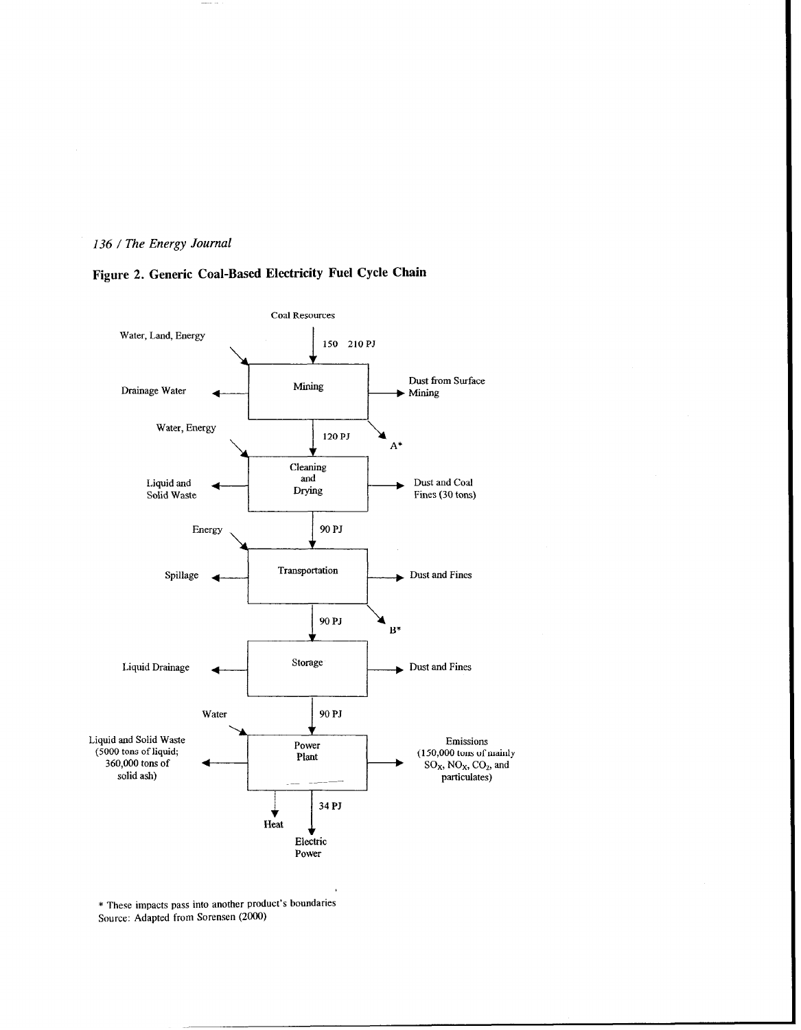



\* These impacts pass into another product's boundaries Source: Adapted from Sorensen (2000)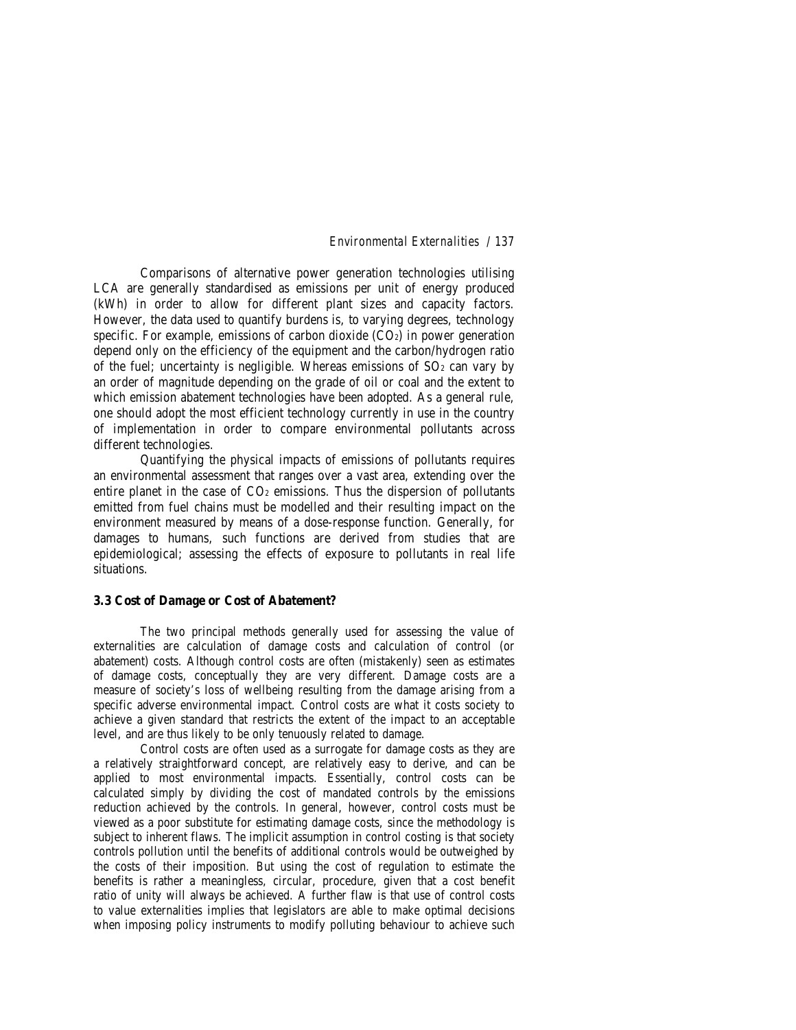Comparisons of alternative power generation technologies utilising LCA are generally standardised as emissions per unit of energy produced (kWh) in order to allow for different plant sizes and capacity factors. However, the data used to quantify burdens is, to varying degrees, technology specific. For example, emissions of carbon dioxide  $(CO<sub>2</sub>)$  in power generation depend only on the efficiency of the equipment and the carbon/hydrogen ratio of the fuel; uncertainty is negligible. Whereas emissions of  $SO<sub>2</sub>$  can vary by an order of magnitude depending on the grade of oil or coal and the extent to which emission abatement technologies have been adopted. As a general rule, one should adopt the most efficient technology currently in use in the country of implementation in order to compare environmental pollutants across different technologies.

Quantifying the physical impacts of emissions of pollutants requires an environmental assessment that ranges over a vast area, extending over the entire planet in the case of  $CO<sub>2</sub>$  emissions. Thus the dispersion of pollutants emitted from fuel chains must be modelled and their resulting impact on the environment measured by means of a dose-response function. Generally, for damages to humans, such functions are derived from studies that are epidemiological; assessing the effects of exposure to pollutants in real life situations.

### **3.3 Cost of Damage or Cost of Abatement?**

The two principal methods generally used for assessing the value of externalities are calculation of damage costs and calculation of control (or abatement) costs. Although control costs are often (mistakenly) seen as estimates of damage costs, conceptually they are very different. Damage costs are a measure of society's loss of wellbeing resulting from the damage arising from a specific adverse environmental impact. Control costs are what it costs society to achieve a given standard that restricts the extent of the impact to an acceptable level, and are thus likely to be only tenuously related to damage.

Control costs are often used as a surrogate for damage costs as they are a relatively straightforward concept, are relatively easy to derive, and can be applied to most environmental impacts. Essentially, control costs can be calculated simply by dividing the cost of mandated controls by the emissions reduction achieved by the controls. In general, however, control costs must be viewed as a poor substitute for estimating damage costs, since the methodology is subject to inherent flaws. The implicit assumption in control costing is that society controls pollution until the benefits of additional controls would be outweighed by the costs of their imposition. But using the cost of regulation to estimate the benefits is rather a meaningless, circular, procedure, given that a cost benefit ratio of unity will always be achieved. A further flaw is that use of control costs to value externalities implies that legislators are able to make optimal decisions when imposing policy instruments to modify polluting behaviour to achieve such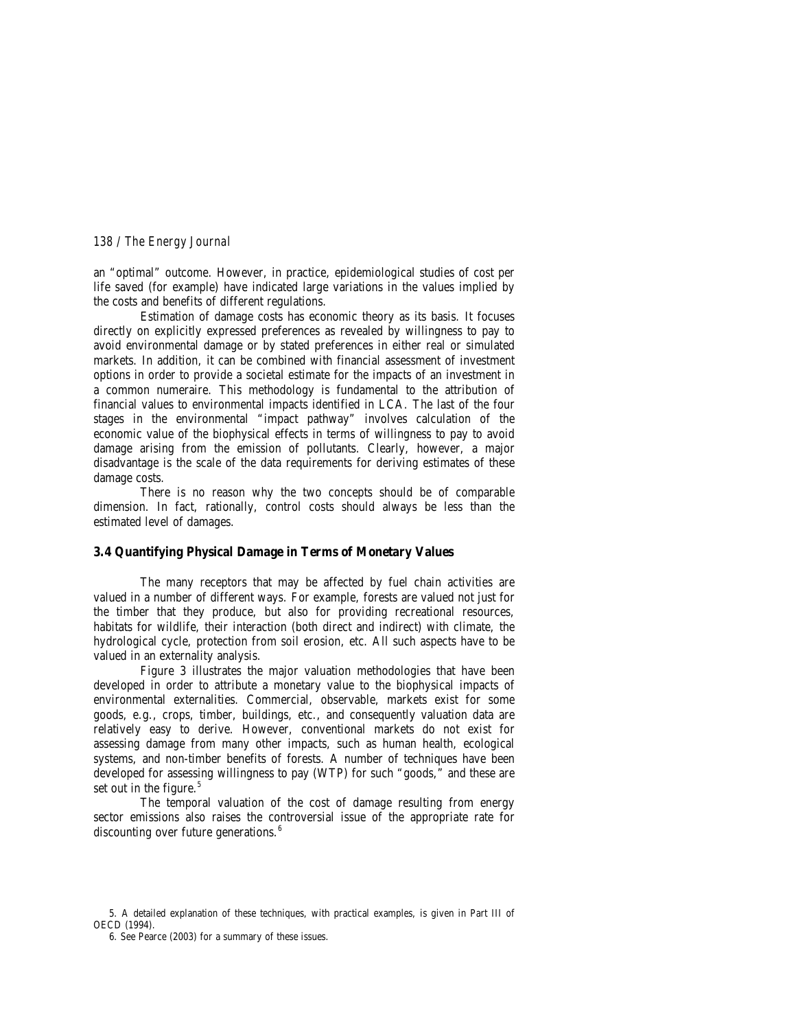an "optimal" outcome. However, in practice, epidemiological studies of cost per life saved (for example) have indicated large variations in the values implied by the costs and benefits of different regulations.

Estimation of damage costs has economic theory as its basis. It focuses directly on explicitly expressed preferences as revealed by willingness to pay to avoid environmental damage or by stated preferences in either real or simulated markets. In addition, it can be combined with financial assessment of investment options in order to provide a societal estimate for the impacts of an investment in a common numeraire. This methodology is fundamental to the attribution of financial values to environmental impacts identified in LCA. The last of the four stages in the environmental "impact pathway" involves calculation of the economic value of the biophysical effects in terms of willingness to pay to avoid damage arising from the emission of pollutants. Clearly, however, a major disadvantage is the scale of the data requirements for deriving estimates of these damage costs.

There is no reason why the two concepts should be of comparable dimension. In fact, rationally, control costs should always be less than the estimated level of damages.

# **3.4 Quantifying Physical Damage in Terms of Monetary Values**

The many receptors that may be affected by fuel chain activities are valued in a number of different ways. For example, forests are valued not just for the timber that they produce, but also for providing recreational resources, habitats for wildlife, their interaction (both direct and indirect) with climate, the hydrological cycle, protection from soil erosion, etc. All such aspects have to be valued in an externality analysis.

Figure 3 illustrates the major valuation methodologies that have been developed in order to attribute a monetary value to the biophysical impacts of environmental externalities. Commercial, observable, markets exist for some goods, e.g., crops, timber, buildings, etc., and consequently valuation data are relatively easy to derive. However, conventional markets do not exist for assessing damage from many other impacts, such as human health, ecological systems, and non-timber benefits of forests. A number of techniques have been developed for assessing willingness to pay (WTP) for such "goods," and these are set out in the figure. $5$ 

The temporal valuation of the cost of damage resulting from energy sector emissions also raises the controversial issue of the appropriate rate for discounting over future generations.<sup>6</sup>

 <sup>5.</sup> A detailed explanation of these techniques, with practical examples, is given in Part III of OECD (1994).

 <sup>6.</sup> See Pearce (2003) for a summary of these issues.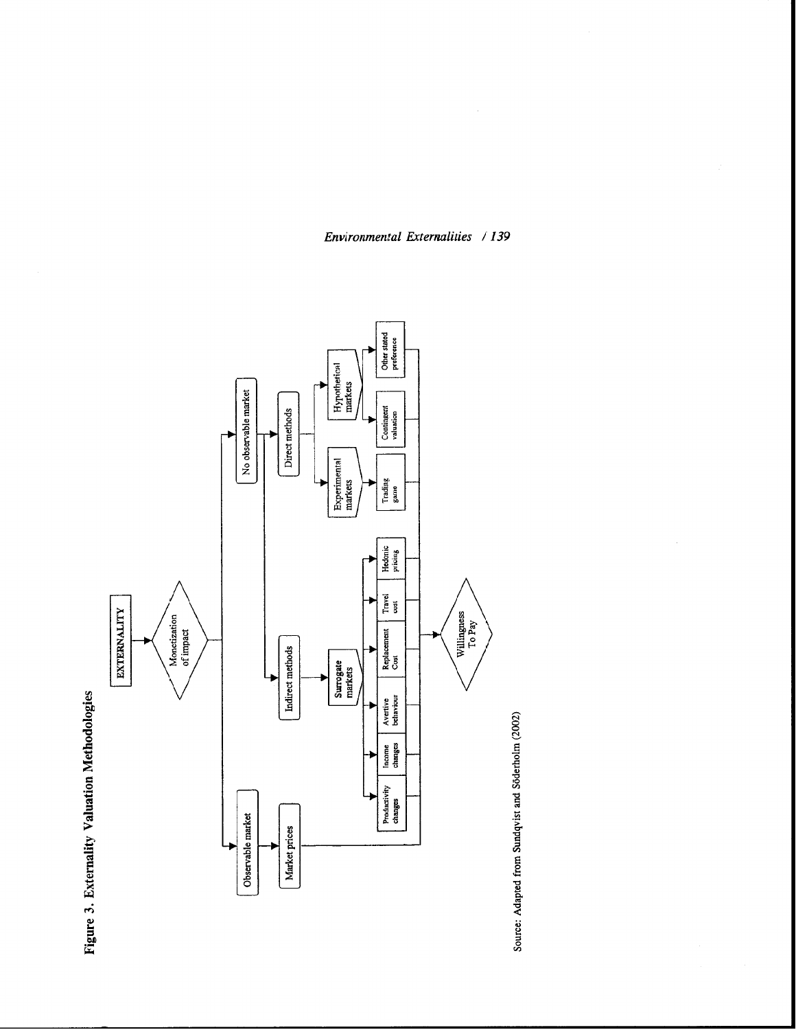



Source: Adapted from Sundqvist and Söderholm (2002) Source: Adapted from Sundqvist and SGderholm (2002)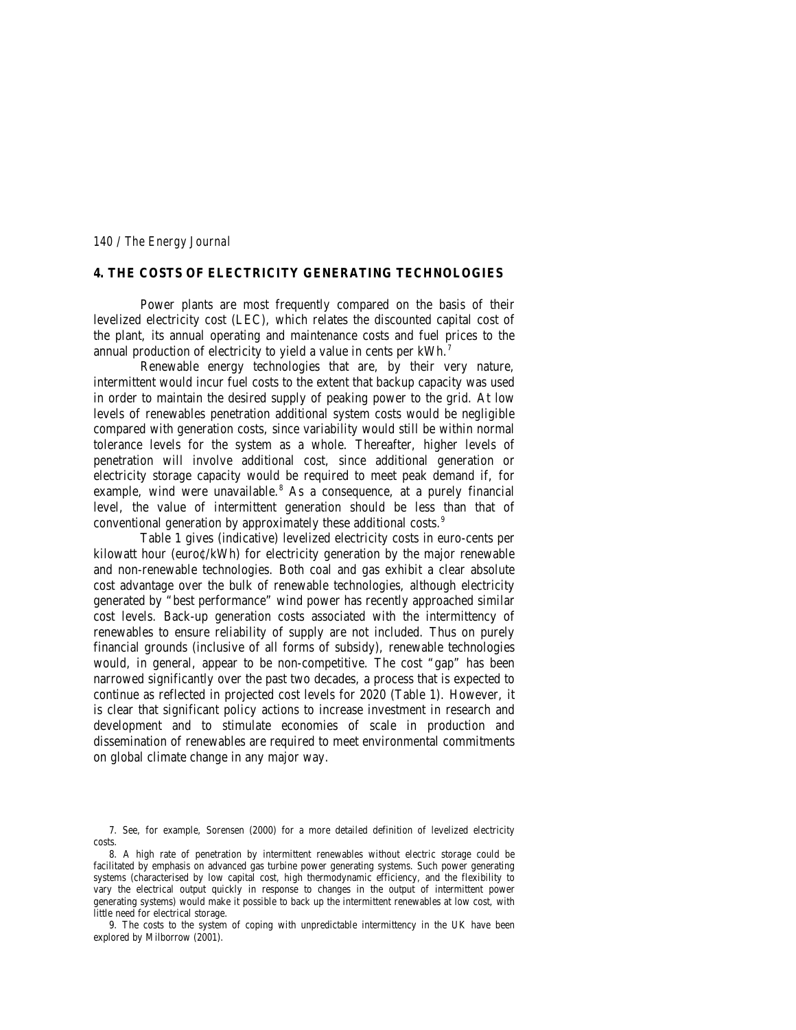# **4. THE COSTS OF ELECTRICITY GENERATING TECHNOLOGIES**

Power plants are most frequently compared on the basis of their levelized electricity cost (LEC), which relates the discounted capital cost of the plant, its annual operating and maintenance costs and fuel prices to the annual production of electricity to yield a value in cents per kWh.<sup>7</sup>

Renewable energy technologies that are, by their very nature, intermittent would incur fuel costs to the extent that backup capacity was used in order to maintain the desired supply of peaking power to the grid. At low levels of renewables penetration additional system costs would be negligible compared with generation costs, since variability would still be within normal tolerance levels for the system as a whole. Thereafter, higher levels of penetration will involve additional cost, since additional generation or electricity storage capacity would be required to meet peak demand if, for example, wind were unavailable.<sup>8</sup> As a consequence, at a purely financial level, the value of intermittent generation should be less than that of conventional generation by approximately these additional costs.<sup>9</sup>

Table 1 gives (indicative) levelized electricity costs in euro-cents per kilowatt hour (euro¢/kWh) for electricity generation by the major renewable and non-renewable technologies. Both coal and gas exhibit a clear absolute cost advantage over the bulk of renewable technologies, although electricity generated by "best performance" wind power has recently approached similar cost levels. Back-up generation costs associated with the intermittency of renewables to ensure reliability of supply are not included. Thus on purely financial grounds (inclusive of all forms of subsidy), renewable technologies would, in general, appear to be non-competitive. The cost "gap" has been narrowed significantly over the past two decades, a process that is expected to continue as reflected in projected cost levels for 2020 (Table 1). However, it is clear that significant policy actions to increase investment in research and development and to stimulate economies of scale in production and dissemination of renewables are required to meet environmental commitments on global climate change in any major way.

 9. The costs to the system of coping with unpredictable intermittency in the UK have been explored by Milborrow (2001).

 <sup>7.</sup> See, for example, Sorensen (2000) for a more detailed definition of levelized electricity costs.

 <sup>8.</sup> A high rate of penetration by intermittent renewables without electric storage could be facilitated by emphasis on advanced gas turbine power generating systems. Such power generating systems (characterised by low capital cost, high thermodynamic efficiency, and the flexibility to vary the electrical output quickly in response to changes in the output of intermittent power generating systems) would make it possible to back up the intermittent renewables at low cost, with little need for electrical storage.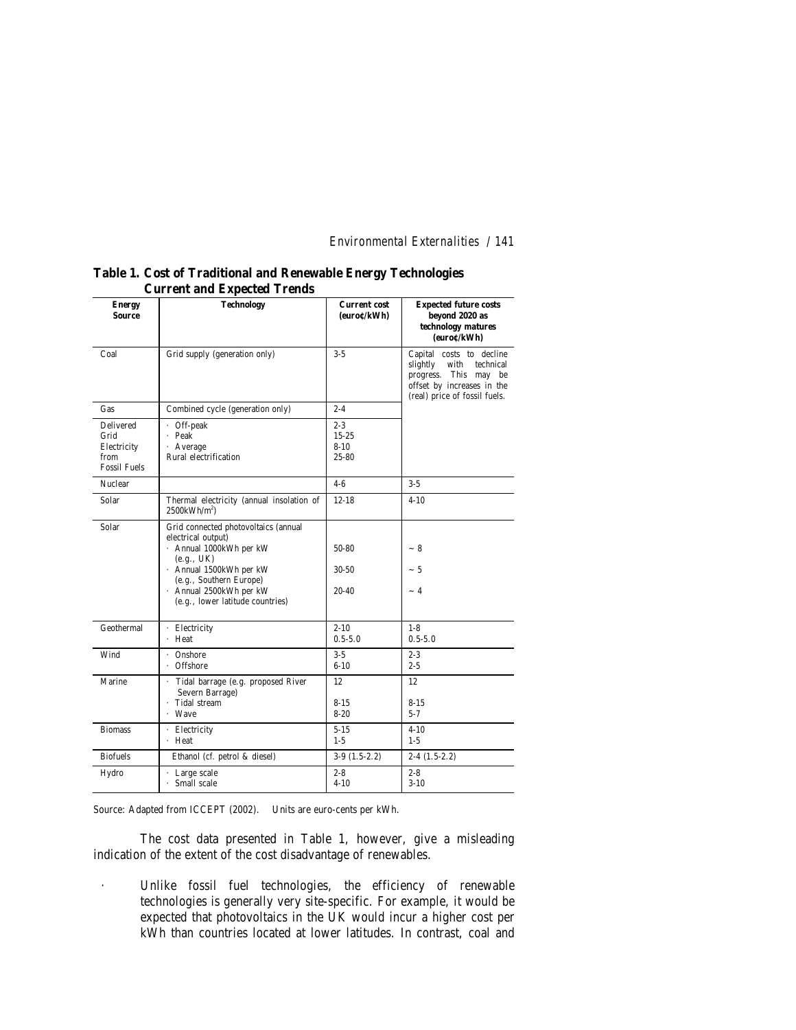| <b>Energy</b><br><b>Source</b>                                  | carrent and Expected Frends<br><b>Technology</b>                                                                                                                                                                         | <b>Current cost</b><br>(euro¢/kWh)        | <b>Expected future costs</b><br>beyond 2020 as<br>technology matures<br>(euroc/kWh)                                                               |
|-----------------------------------------------------------------|--------------------------------------------------------------------------------------------------------------------------------------------------------------------------------------------------------------------------|-------------------------------------------|---------------------------------------------------------------------------------------------------------------------------------------------------|
| Coal                                                            | Grid supply (generation only)                                                                                                                                                                                            | $3-5$                                     | Capital costs to decline<br>slightly<br>with<br>technical<br>progress. This may be<br>offset by increases in the<br>(real) price of fossil fuels. |
| Gas                                                             | Combined cycle (generation only)                                                                                                                                                                                         | $2 - 4$                                   |                                                                                                                                                   |
| Delivered<br>Grid<br>Electricity<br>from<br><b>Fossil Fuels</b> | · Off-peak<br>· Peak<br>· Average<br>Rural electrification                                                                                                                                                               | $2 - 3$<br>$15 - 25$<br>$8 - 10$<br>25-80 |                                                                                                                                                   |
| Nuclear                                                         |                                                                                                                                                                                                                          | $4-6$                                     | $3-5$                                                                                                                                             |
| Solar                                                           | Thermal electricity (annual insolation of<br>$2500$ kWh/m <sup>2</sup> )                                                                                                                                                 | $12 - 18$                                 | $4 - 10$                                                                                                                                          |
| Solar                                                           | Grid connected photovoltaics (annual<br>electrical output)<br>· Annual 1000kWh per kW<br>(e.g., UK)<br>· Annual 1500kWh per kW<br>(e.g., Southern Europe)<br>- Annual 2500kWh per kW<br>(e.g., lower latitude countries) | 50-80<br>$30 - 50$<br>$20 - 40$           | $~1$ 8<br>~5<br>$~-4$                                                                                                                             |
| Geothermal                                                      | Electricity<br>Heat<br>$\ddot{\phantom{0}}$                                                                                                                                                                              | $2 - 10$<br>$0.5 - 5.0$                   | $1-8$<br>$0.5 - 5.0$                                                                                                                              |
| Wind                                                            | Onshore<br>Offshore                                                                                                                                                                                                      | $3-5$<br>$6 - 10$                         | $2 - 3$<br>$2 - 5$                                                                                                                                |
| Marine                                                          | Tidal barrage (e.g. proposed River<br>$\ddot{\phantom{0}}$<br>Severn Barrage)<br>· Tidal stream<br>Wave                                                                                                                  | 12<br>$8 - 15$<br>$8 - 20$                | 12<br>$8 - 15$<br>$5 - 7$                                                                                                                         |
| <b>Biomass</b>                                                  | · Electricity<br>· Heat                                                                                                                                                                                                  | $5 - 15$<br>$1-5$                         | $4 - 10$<br>$1-5$                                                                                                                                 |
| <b>Biofuels</b>                                                 | Ethanol (cf. petrol & diesel)                                                                                                                                                                                            | $3-9(1.5-2.2)$                            | $2-4(1.5-2.2)$                                                                                                                                    |
| Hydro                                                           | · Large scale<br>· Small scale                                                                                                                                                                                           | $2 - 8$<br>$4 - 10$                       | $2 - 8$<br>$3 - 10$                                                                                                                               |

### **Table 1. Cost of Traditional and Renewable Energy Technologies Current and Expected Trends**

Source: Adapted from ICCEPT (2002). Units are euro-cents per kWh.

The cost data presented in Table 1, however, give a misleading indication of the extent of the cost disadvantage of renewables.

> Unlike fossil fuel technologies, the efficiency of renewable technologies is generally very site-specific. For example, it would be expected that photovoltaics in the UK would incur a higher cost per kWh than countries located at lower latitudes. In contrast, coal and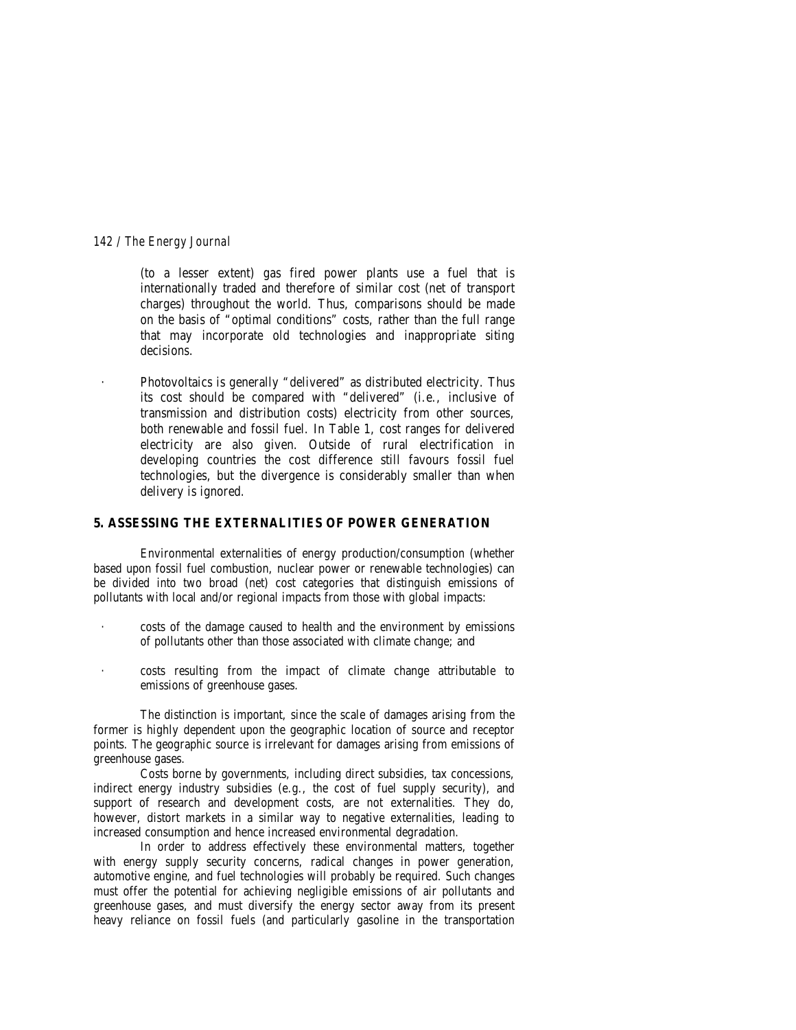# *142 / The Energy Journal*

(to a lesser extent) gas fired power plants use a fuel that is internationally traded and therefore of similar cost (net of transport charges) throughout the world. Thus, comparisons should be made on the basis of "optimal conditions" costs, rather than the full range that may incorporate old technologies and inappropriate siting decisions.

Photovoltaics is generally "delivered" as distributed electricity. Thus its cost should be compared with "delivered" (i.e., inclusive of transmission and distribution costs) electricity from other sources, both renewable and fossil fuel. In Table 1, cost ranges for delivered electricity are also given. Outside of rural electrification in developing countries the cost difference still favours fossil fuel technologies, but the divergence is considerably smaller than when delivery is ignored.

### **5. ASSESSING THE EXTERNALITIES OF POWER GENERATION**

Environmental externalities of energy production/consumption (whether based upon fossil fuel combustion, nuclear power or renewable technologies) can be divided into two broad (net) cost categories that distinguish emissions of pollutants with local and/or regional impacts from those with global impacts:

- · costs of the damage caused to health and the environment by emissions of pollutants other than those associated with climate change; and
- · costs resulting from the impact of climate change attributable to emissions of greenhouse gases.

The distinction is important, since the scale of damages arising from the former is highly dependent upon the geographic location of source and receptor points. The geographic source is irrelevant for damages arising from emissions of greenhouse gases.

Costs borne by governments, including direct subsidies, tax concessions, indirect energy industry subsidies (e.g., the cost of fuel supply security), and support of research and development costs, are not externalities. They do, however, distort markets in a similar way to negative externalities, leading to increased consumption and hence increased environmental degradation.

In order to address effectively these environmental matters, together with energy supply security concerns, radical changes in power generation, automotive engine, and fuel technologies will probably be required. Such changes must offer the potential for achieving negligible emissions of air pollutants and greenhouse gases, and must diversify the energy sector away from its present heavy reliance on fossil fuels (and particularly gasoline in the transportation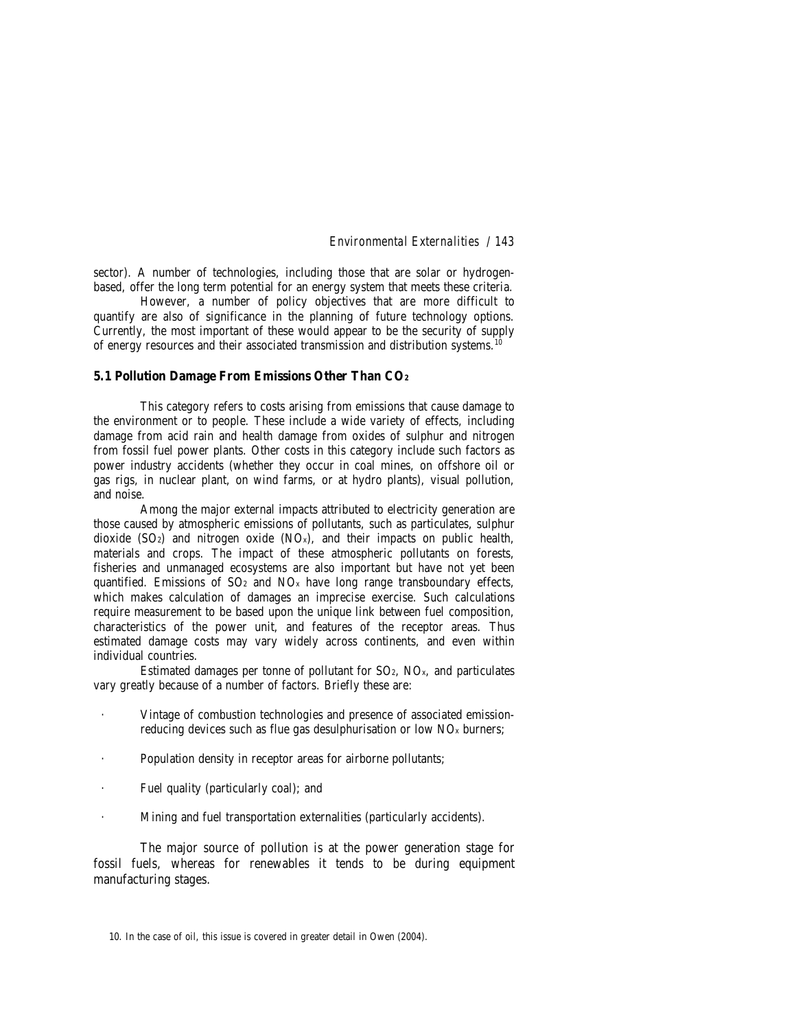sector). A number of technologies, including those that are solar or hydrogenbased, offer the long term potential for an energy system that meets these criteria.

However, a number of policy objectives that are more difficult to quantify are also of significance in the planning of future technology options. Currently, the most important of these would appear to be the security of supply of energy resources and their associated transmission and distribution systems.<sup>10</sup>

#### **5.1 Pollution Damage From Emissions Other Than CO<sup>2</sup>**

This category refers to costs arising from emissions that cause damage to the environment or to people. These include a wide variety of effects, including damage from acid rain and health damage from oxides of sulphur and nitrogen from fossil fuel power plants. Other costs in this category include such factors as power industry accidents (whether they occur in coal mines, on offshore oil or gas rigs, in nuclear plant, on wind farms, or at hydro plants), visual pollution, and noise.

Among the major external impacts attributed to electricity generation are those caused by atmospheric emissions of pollutants, such as particulates, sulphur dioxide  $(SO_2)$  and nitrogen oxide  $(NO<sub>x</sub>)$ , and their impacts on public health, materials and crops. The impact of these atmospheric pollutants on forests, fisheries and unmanaged ecosystems are also important but have not yet been quantified. Emissions of  $SO<sub>2</sub>$  and  $NO<sub>x</sub>$  have long range transboundary effects, which makes calculation of damages an imprecise exercise. Such calculations require measurement to be based upon the unique link between fuel composition, characteristics of the power unit, and features of the receptor areas. Thus estimated damage costs may vary widely across continents, and even within individual countries.

Estimated damages per tonne of pollutant for  $SO<sub>2</sub>$ ,  $NO<sub>x</sub>$ , and particulates vary greatly because of a number of factors. Briefly these are:

- Vintage of combustion technologies and presence of associated emissionreducing devices such as flue gas desulphurisation or low NOx burners;
- Population density in receptor areas for airborne pollutants;
- Fuel quality (particularly coal); and
- Mining and fuel transportation externalities (particularly accidents).

The major source of pollution is at the power generation stage for fossil fuels, whereas for renewables it tends to be during equipment manufacturing stages.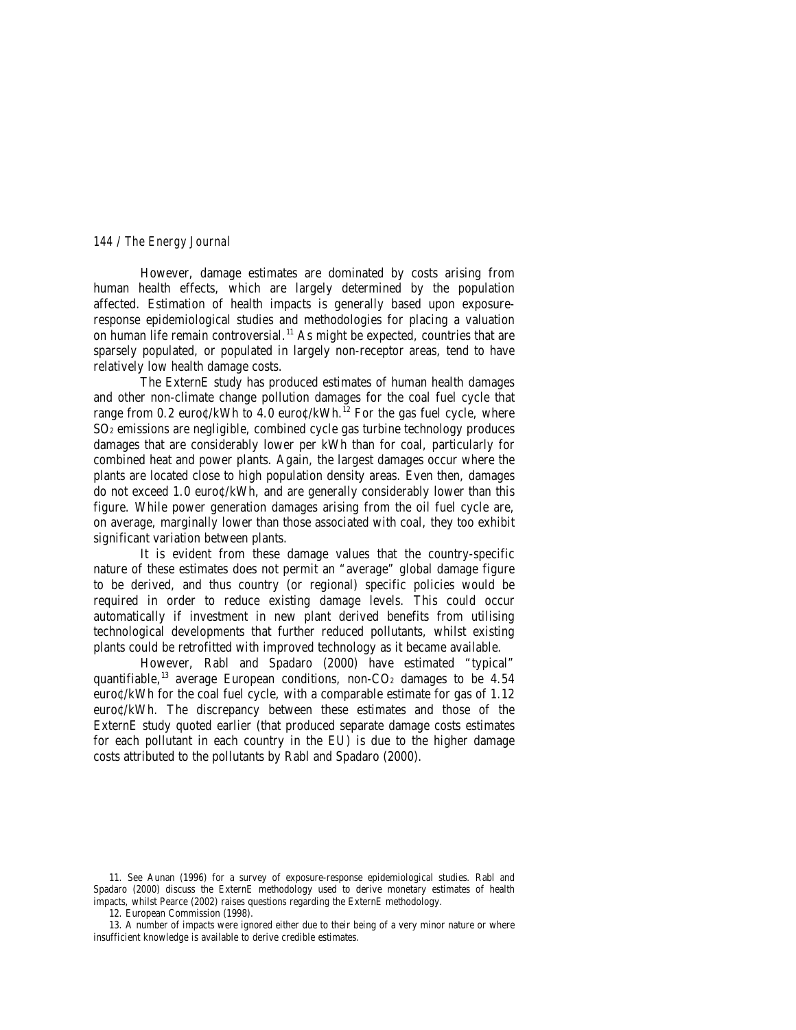### *144 / The Energy Journal*

However, damage estimates are dominated by costs arising from human health effects, which are largely determined by the population affected. Estimation of health impacts is generally based upon exposureresponse epidemiological studies and methodologies for placing a valuation on human life remain controversial.<sup>11</sup> As might be expected, countries that are sparsely populated, or populated in largely non-receptor areas, tend to have relatively low health damage costs.

The ExternE study has produced estimates of human health damages and other non-climate change pollution damages for the coal fuel cycle that range from 0.2 euro¢/kWh to 4.0 euro¢/kWh.<sup>12</sup> For the gas fuel cycle, where SO2 emissions are negligible, combined cycle gas turbine technology produces damages that are considerably lower per kWh than for coal, particularly for combined heat and power plants. Again, the largest damages occur where the plants are located close to high population density areas. Even then, damages do not exceed 1.0 euro¢/kWh, and are generally considerably lower than this figure. While power generation damages arising from the oil fuel cycle are, on average, marginally lower than those associated with coal, they too exhibit significant variation between plants.

It is evident from these damage values that the country-specific nature of these estimates does not permit an "average" global damage figure to be derived, and thus country (or regional) specific policies would be required in order to reduce existing damage levels. This could occur automatically if investment in new plant derived benefits from utilising technological developments that further reduced pollutants, whilst existing plants could be retrofitted with improved technology as it became available.

However, Rabl and Spadaro (2000) have estimated "typical" quantifiable,<sup>13</sup> average European conditions, non-CO<sub>2</sub> damages to be  $4.54$ euro¢/kWh for the coal fuel cycle, with a comparable estimate for gas of 1.12 euro¢/kWh. The discrepancy between these estimates and those of the ExternE study quoted earlier (that produced separate damage costs estimates for each pollutant in each country in the EU) is due to the higher damage costs attributed to the pollutants by Rabl and Spadaro (2000).

 11. See Aunan (1996) for a survey of exposure-response epidemiological studies. Rabl and Spadaro (2000) discuss the ExternE methodology used to derive monetary estimates of health impacts, whilst Pearce (2002) raises questions regarding the ExternE methodology.

12. European Commission (1998).

 13. A number of impacts were ignored either due to their being of a very minor nature or where insufficient knowledge is available to derive credible estimates.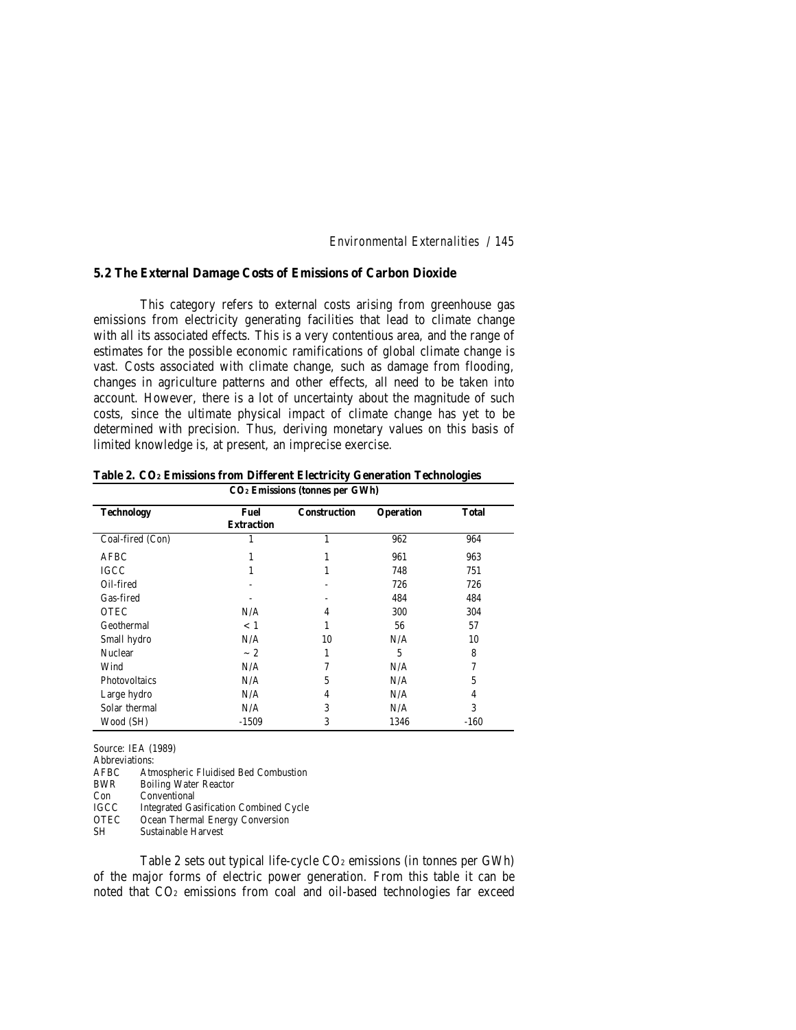#### **5.2 The External Damage Costs of Emissions of Carbon Dioxide**

This category refers to external costs arising from greenhouse gas emissions from electricity generating facilities that lead to climate change with all its associated effects. This is a very contentious area, and the range of estimates for the possible economic ramifications of global climate change is vast. Costs associated with climate change, such as damage from flooding, changes in agriculture patterns and other effects, all need to be taken into account. However, there is a lot of uncertainty about the magnitude of such costs, since the ultimate physical impact of climate change has yet to be determined with precision. Thus, deriving monetary values on this basis of limited knowledge is, at present, an imprecise exercise.

| <b>Technology</b> | <b>Fuel</b>       | <b>Construction</b> | <b>Operation</b> | <b>Total</b> |
|-------------------|-------------------|---------------------|------------------|--------------|
|                   | <b>Extraction</b> |                     |                  |              |
| Coal-fired (Con)  |                   | 1                   | 962              | 964          |
| AFBC              |                   |                     | 961              | 963          |
| <b>IGCC</b>       |                   | 1                   | 748              | 751          |
| Oil-fired         |                   | -                   | 726              | 726          |
| Gas-fired         |                   |                     | 484              | 484          |
| <b>OTEC</b>       | N/A               | 4                   | 300              | 304          |
| Geothermal        | $<$ 1             |                     | 56               | 57           |
| Small hydro       | N/A               | 10                  | N/A              | 10           |
| Nuclear           | ~2                | 1                   | 5                | 8            |
| Wind              | N/A               | 7                   | N/A              | 7            |
| Photovoltaics     | N/A               | 5                   | N/A              | 5            |
| Large hydro       | N/A               | 4                   | N/A              | 4            |
| Solar thermal     | N/A               | 3                   | N/A              | 3            |
| Wood (SH)         | $-1509$           | 3                   | 1346             | $-160$       |

**Table 2. CO2 Emissions from Different Electricity Generation Technologies CO2 Emissions (tonnes per GWh)**

Source: IEA (1989)

Abbreviations:

| AFBC        | Atmospheric Fluidised Bed Combustion          |
|-------------|-----------------------------------------------|
| <b>BWR</b>  | <b>Boiling Water Reactor</b>                  |
| Con         | Conventional                                  |
| <b>IGCC</b> | <b>Integrated Gasification Combined Cycle</b> |
| <b>OTEC</b> | Ocean Thermal Energy Conversion               |
| SH.         | Sustainable Harvest                           |

Table 2 sets out typical life-cycle  $CO<sub>2</sub>$  emissions (in tonnes per GWh) of the major forms of electric power generation. From this table it can be noted that CO2 emissions from coal and oil-based technologies far exceed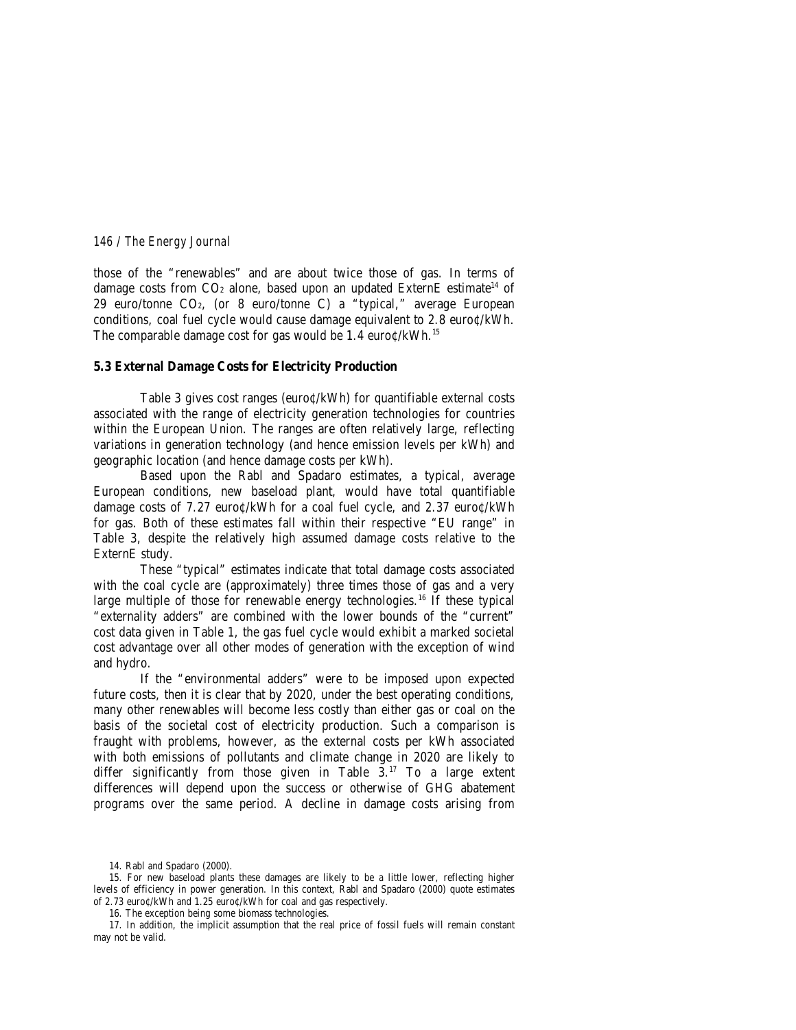those of the "renewables" and are about twice those of gas. In terms of damage costs from  $CO<sub>2</sub>$  alone, based upon an updated ExternE estimate<sup>14</sup> of 29 euro/tonne CO2, (or 8 euro/tonne C) a "typical," average European conditions, coal fuel cycle would cause damage equivalent to  $2.8$  euro $\zeta$ /kWh. The comparable damage cost for gas would be  $1.4 \text{ euroC/kWh}$ .<sup>15</sup>

# **5.3 External Damage Costs for Electricity Production**

Table 3 gives cost ranges (euro¢/kWh) for quantifiable external costs associated with the range of electricity generation technologies for countries within the European Union. The ranges are often relatively large, reflecting variations in generation technology (and hence emission levels per kWh) and geographic location (and hence damage costs per kWh).

Based upon the Rabl and Spadaro estimates, a typical, average European conditions, new baseload plant, would have total quantifiable damage costs of 7.27 euro¢/kWh for a coal fuel cycle, and 2.37 euro¢/kWh for gas. Both of these estimates fall within their respective "EU range" in Table 3, despite the relatively high assumed damage costs relative to the ExternE study.

These "typical" estimates indicate that total damage costs associated with the coal cycle are (approximately) three times those of gas and a very large multiple of those for renewable energy technologies.<sup>16</sup> If these typical "externality adders" are combined with the lower bounds of the "current" cost data given in Table 1, the gas fuel cycle would exhibit a marked societal cost advantage over all other modes of generation with the exception of wind and hydro.

If the "environmental adders" were to be imposed upon expected future costs, then it is clear that by 2020, under the best operating conditions, many other renewables will become less costly than either gas or coal on the basis of the societal cost of electricity production. Such a comparison is fraught with problems, however, as the external costs per kWh associated with both emissions of pollutants and climate change in 2020 are likely to differ significantly from those given in Table  $3<sup>17</sup>$  To a large extent differences will depend upon the success or otherwise of GHG abatement programs over the same period. A decline in damage costs arising from

16. The exception being some biomass technologies.

 17. In addition, the implicit assumption that the real price of fossil fuels will remain constant may not be valid.

 <sup>14.</sup> Rabl and Spadaro (2000).

 <sup>15.</sup> For new baseload plants these damages are likely to be a little lower, reflecting higher levels of efficiency in power generation. In this context, Rabl and Spadaro (2000) quote estimates of 2.73 euro¢/kWh and 1.25 euro¢/kWh for coal and gas respectively.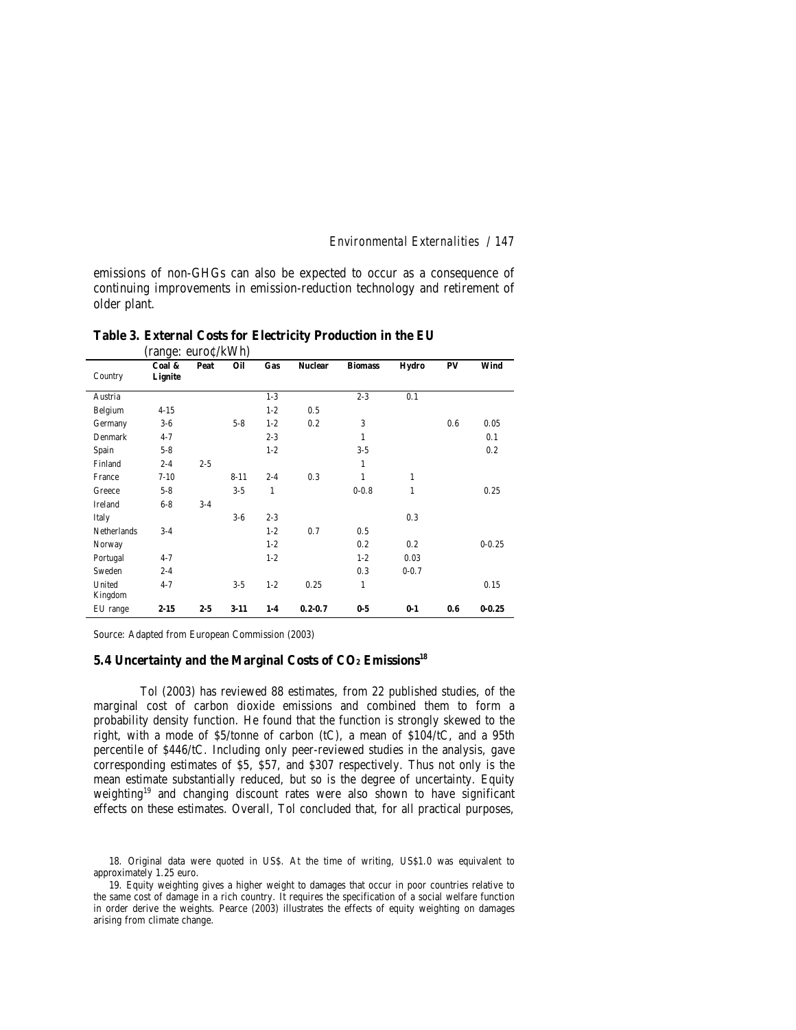emissions of non-GHGs can also be expected to occur as a consequence of continuing improvements in emission-reduction technology and retirement of older plant.

|                    | (range, eurov/KWM) |         |          |            |                |                |              |     |             |
|--------------------|--------------------|---------|----------|------------|----------------|----------------|--------------|-----|-------------|
|                    | Coal &             | Peat    | Oil      | <b>Gas</b> | <b>Nuclear</b> | <b>Biomass</b> | Hydro        | PV  | <b>Wind</b> |
| Country            | Lignite            |         |          |            |                |                |              |     |             |
|                    |                    |         |          | $1-3$      |                | $2 - 3$        | 0.1          |     |             |
| Austria            |                    |         |          |            |                |                |              |     |             |
| Belgium            | $4 - 15$           |         |          | $1 - 2$    | 0.5            |                |              |     |             |
| Germany            | $3-6$              |         | $5 - 8$  | $1 - 2$    | 0.2            | 3              |              | 0.6 | 0.05        |
| Denmark            | $4 - 7$            |         |          | $2 - 3$    |                | 1              |              |     | 0.1         |
| Spain              | $5 - 8$            |         |          | $1 - 2$    |                | $3-5$          |              |     | 0.2         |
| Finland            | $2 - 4$            | $2 - 5$ |          |            |                | $\mathbf{1}$   |              |     |             |
| France             | $7 - 10$           |         | $8 - 11$ | $2 - 4$    | 0.3            | 1              | $\mathbf{1}$ |     |             |
| Greece             | $5 - 8$            |         | $3-5$    | 1          |                | $0 - 0.8$      | $\mathbf{1}$ |     | 0.25        |
| Ireland            | $6 - 8$            | $3-4$   |          |            |                |                |              |     |             |
| Italy              |                    |         | $3-6$    | $2 - 3$    |                |                | 0.3          |     |             |
| <b>Netherlands</b> | $3-4$              |         |          | $1 - 2$    | 0.7            | 0.5            |              |     |             |
| Norway             |                    |         |          | $1 - 2$    |                | 0.2            | 0.2          |     | $0 - 0.25$  |
| Portugal           | $4 - 7$            |         |          | $1 - 2$    |                | $1 - 2$        | 0.03         |     |             |
| Sweden             | $2 - 4$            |         |          |            |                | 0.3            | $0 - 0.7$    |     |             |
| United             | $4 - 7$            |         | $3-5$    | $1 - 2$    | 0.25           | 1              |              |     | 0.15        |
| Kingdom            |                    |         |          |            |                |                |              |     |             |
| EU range           | $2 - 15$           | $2-5$   | $3 - 11$ | $1-4$      | $0.2 - 0.7$    | $0-5$          | $0-1$        | 0.6 | $0 - 0.25$  |

|  |                                         | Table 3. External Costs for Electricity Production in the EU |  |  |
|--|-----------------------------------------|--------------------------------------------------------------|--|--|
|  | $(\text{range} \cdot \text{error}/kWh)$ |                                                              |  |  |

Source: Adapted from European Commission (2003)

# **5.4 Uncertainty and the Marginal Costs of CO2 Emissions<sup>18</sup>**

Tol (2003) has reviewed 88 estimates, from 22 published studies, of the marginal cost of carbon dioxide emissions and combined them to form a probability density function. He found that the function is strongly skewed to the right, with a mode of \$5/tonne of carbon (tC), a mean of \$104/tC, and a 95th percentile of \$446/tC. Including only peer-reviewed studies in the analysis, gave corresponding estimates of \$5, \$57, and \$307 respectively. Thus not only is the mean estimate substantially reduced, but so is the degree of uncertainty. Equity weighting<sup>19</sup> and changing discount rates were also shown to have significant effects on these estimates. Overall, Tol concluded that, for all practical purposes,

 18. Original data were quoted in US\$. At the time of writing, US\$1.0 was equivalent to approximately 1.25 euro.

 19. Equity weighting gives a higher weight to damages that occur in poor countries relative to the same cost of damage in a rich country. It requires the specification of a social welfare function in order derive the weights. Pearce (2003) illustrates the effects of equity weighting on damages arising from climate change.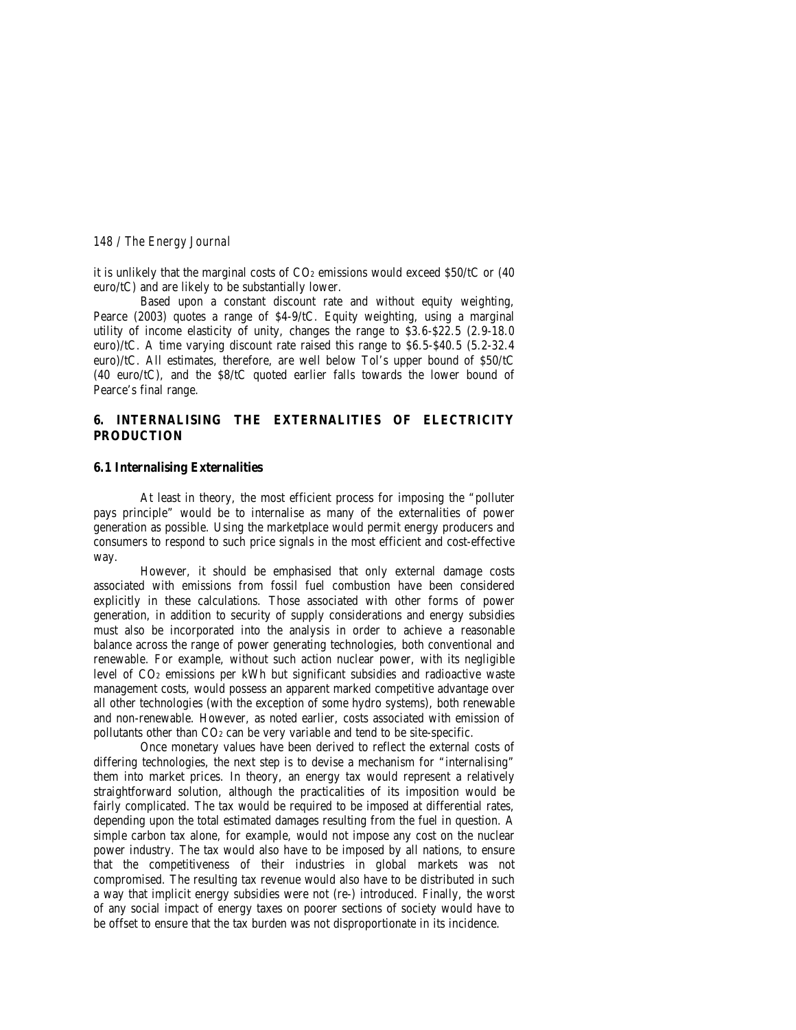it is unlikely that the marginal costs of  $CO<sub>2</sub>$  emissions would exceed  $$50/tC$  or (40) euro/tC) and are likely to be substantially lower.

Based upon a constant discount rate and without equity weighting, Pearce (2003) quotes a range of \$4-9/tC. Equity weighting, using a marginal utility of income elasticity of unity, changes the range to \$3.6-\$22.5 (2.9-18.0 euro)/tC. A time varying discount rate raised this range to \$6.5-\$40.5 (5.2-32.4 euro)/tC. All estimates, therefore, are well below Tol's upper bound of \$50/tC (40 euro/tC), and the \$8/tC quoted earlier falls towards the lower bound of Pearce's final range.

# **6. INTERNALISING THE EXTERNALITIES OF ELECTRICITY PRODUCTION**

# **6.1 Internalising Externalities**

At least in theory, the most efficient process for imposing the "polluter pays principle" would be to internalise as many of the externalities of power generation as possible. Using the marketplace would permit energy producers and consumers to respond to such price signals in the most efficient and cost-effective way.

However, it should be emphasised that only external damage costs associated with emissions from fossil fuel combustion have been considered explicitly in these calculations. Those associated with other forms of power generation, in addition to security of supply considerations and energy subsidies must also be incorporated into the analysis in order to achieve a reasonable balance across the range of power generating technologies, both conventional and renewable. For example, without such action nuclear power, with its negligible level of CO2 emissions per kWh but significant subsidies and radioactive waste management costs, would possess an apparent marked competitive advantage over all other technologies (with the exception of some hydro systems), both renewable and non-renewable. However, as noted earlier, costs associated with emission of pollutants other than CO2 can be very variable and tend to be site-specific.

Once monetary values have been derived to reflect the external costs of differing technologies, the next step is to devise a mechanism for "internalising" them into market prices. In theory, an energy tax would represent a relatively straightforward solution, although the practicalities of its imposition would be fairly complicated. The tax would be required to be imposed at differential rates, depending upon the total estimated damages resulting from the fuel in question. A simple carbon tax alone, for example, would not impose any cost on the nuclear power industry. The tax would also have to be imposed by all nations, to ensure that the competitiveness of their industries in global markets was not compromised. The resulting tax revenue would also have to be distributed in such a way that implicit energy subsidies were not (re-) introduced. Finally, the worst of any social impact of energy taxes on poorer sections of society would have to be offset to ensure that the tax burden was not disproportionate in its incidence.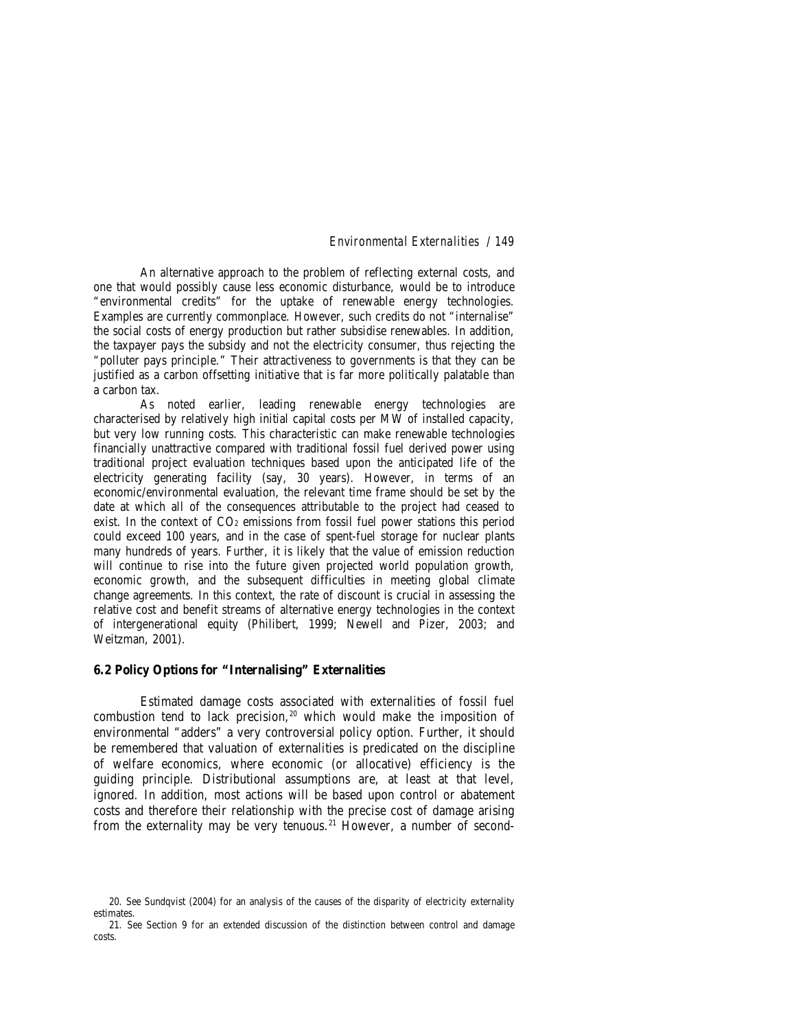An alternative approach to the problem of reflecting external costs, and one that would possibly cause less economic disturbance, would be to introduce "environmental credits" for the uptake of renewable energy technologies. Examples are currently commonplace. However, such credits do not "internalise" the social costs of energy production but rather subsidise renewables. In addition, the taxpayer pays the subsidy and not the electricity consumer, thus rejecting the "polluter pays principle." Their attractiveness to governments is that they can be justified as a carbon offsetting initiative that is far more politically palatable than a carbon tax.

As noted earlier, leading renewable energy technologies are characterised by relatively high initial capital costs per MW of installed capacity, but very low running costs. This characteristic can make renewable technologies financially unattractive compared with traditional fossil fuel derived power using traditional project evaluation techniques based upon the anticipated life of the electricity generating facility (say, 30 years). However, in terms of an economic/environmental evaluation, the relevant time frame should be set by the date at which all of the consequences attributable to the project had ceased to exist. In the context of  $CO<sub>2</sub>$  emissions from fossil fuel power stations this period could exceed 100 years, and in the case of spent-fuel storage for nuclear plants many hundreds of years. Further, it is likely that the value of emission reduction will continue to rise into the future given projected world population growth, economic growth, and the subsequent difficulties in meeting global climate change agreements. In this context, the rate of discount is crucial in assessing the relative cost and benefit streams of alternative energy technologies in the context of intergenerational equity (Philibert, 1999; Newell and Pizer, 2003; and Weitzman, 2001).

#### **6.2 Policy Options for "Internalising" Externalities**

Estimated damage costs associated with externalities of fossil fuel combustion tend to lack precision,<sup>20</sup> which would make the imposition of environmental "adders" a very controversial policy option. Further, it should be remembered that valuation of externalities is predicated on the discipline of welfare economics, where economic (or allocative) efficiency is the guiding principle. Distributional assumptions are, at least at that level, ignored. In addition, most actions will be based upon control or abatement costs and therefore their relationship with the precise cost of damage arising from the externality may be very tenuous.<sup>21</sup> However, a number of second-

 <sup>20.</sup> See Sundqvist (2004) for an analysis of the causes of the disparity of electricity externality estimates.

 <sup>21.</sup> See Section 9 for an extended discussion of the distinction between control and damage costs.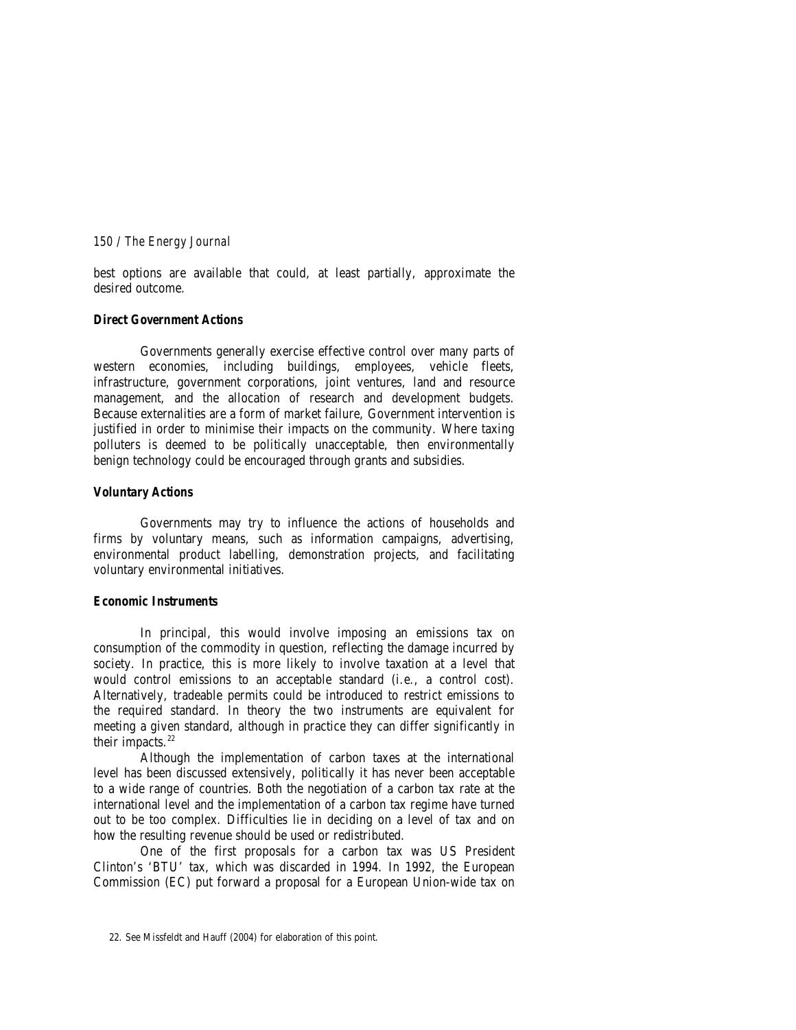best options are available that could, at least partially, approximate the desired outcome.

# *Direct Government Actions*

Governments generally exercise effective control over many parts of western economies, including buildings, employees, vehicle fleets, infrastructure, government corporations, joint ventures, land and resource management, and the allocation of research and development budgets. Because externalities are a form of market failure, Government intervention is justified in order to minimise their impacts on the community. Where taxing polluters is deemed to be politically unacceptable, then environmentally benign technology could be encouraged through grants and subsidies.

### *Voluntary Actions*

Governments may try to influence the actions of households and firms by voluntary means, such as information campaigns, advertising, environmental product labelling, demonstration projects, and facilitating voluntary environmental initiatives.

### *Economic Instruments*

In principal, this would involve imposing an emissions tax on consumption of the commodity in question, reflecting the damage incurred by society. In practice, this is more likely to involve taxation at a level that would control emissions to an acceptable standard (i.e., a control cost). Alternatively, tradeable permits could be introduced to restrict emissions to the required standard. In theory the two instruments are equivalent for meeting a given standard, although in practice they can differ significantly in their impacts. $22$ 

Although the implementation of carbon taxes at the international level has been discussed extensively, politically it has never been acceptable to a wide range of countries. Both the negotiation of a carbon tax rate at the international level and the implementation of a carbon tax regime have turned out to be too complex. Difficulties lie in deciding on a level of tax and on how the resulting revenue should be used or redistributed.

One of the first proposals for a carbon tax was US President Clinton's 'BTU' tax, which was discarded in 1994. In 1992, the European Commission (EC) put forward a proposal for a European Union-wide tax on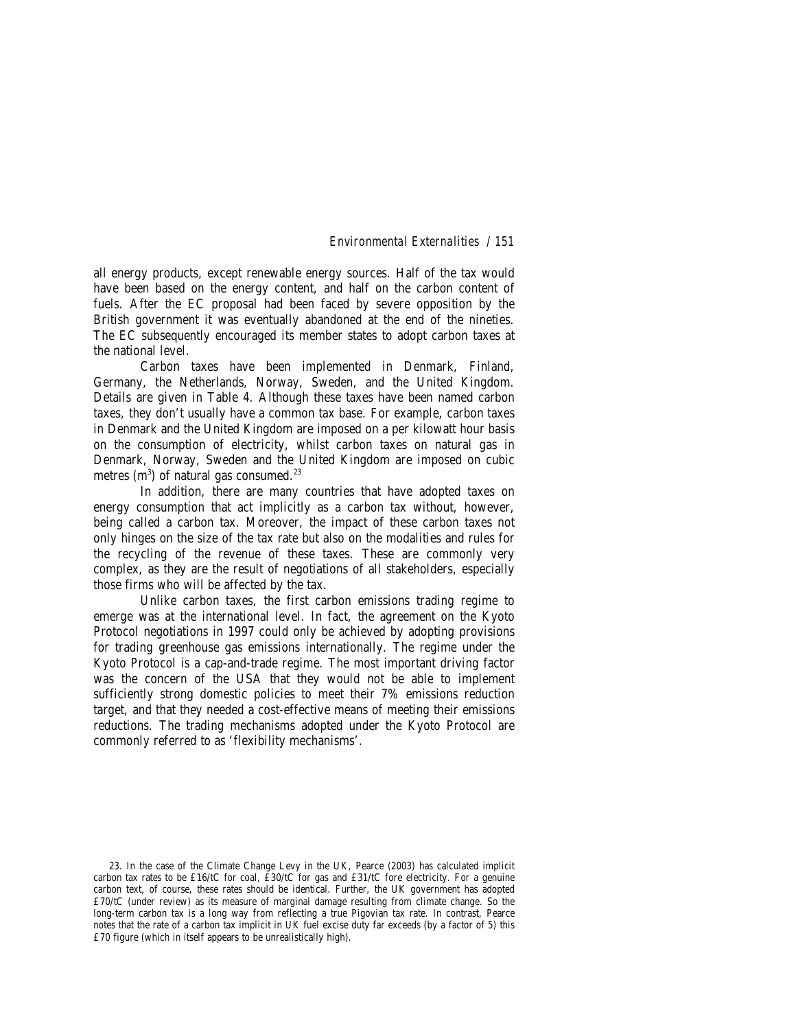all energy products, except renewable energy sources. Half of the tax would have been based on the energy content, and half on the carbon content of fuels. After the EC proposal had been faced by severe opposition by the British government it was eventually abandoned at the end of the nineties. The EC subsequently encouraged its member states to adopt carbon taxes at the national level.

Carbon taxes have been implemented in Denmark, Finland, Germany, the Netherlands, Norway, Sweden, and the United Kingdom. Details are given in Table 4. Although these taxes have been named carbon taxes, they don't usually have a common tax base. For example, carbon taxes in Denmark and the United Kingdom are imposed on a per kilowatt hour basis on the consumption of electricity, whilst carbon taxes on natural gas in Denmark, Norway, Sweden and the United Kingdom are imposed on cubic metres  $(m^3)$  of natural gas consumed.<sup>23</sup>

In addition, there are many countries that have adopted taxes on energy consumption that act implicitly as a carbon tax without, however, being called a carbon tax. Moreover, the impact of these carbon taxes not only hinges on the size of the tax rate but also on the modalities and rules for the recycling of the revenue of these taxes. These are commonly very complex, as they are the result of negotiations of all stakeholders, especially those firms who will be affected by the tax.

Unlike carbon taxes, the first carbon emissions trading regime to emerge was at the international level. In fact, the agreement on the Kyoto Protocol negotiations in 1997 could only be achieved by adopting provisions for trading greenhouse gas emissions internationally. The regime under the Kyoto Protocol is a cap-and-trade regime. The most important driving factor was the concern of the USA that they would not be able to implement sufficiently strong domestic policies to meet their 7% emissions reduction target, and that they needed a cost-effective means of meeting their emissions reductions. The trading mechanisms adopted under the Kyoto Protocol are commonly referred to as 'flexibility mechanisms'.

 23. In the case of the Climate Change Levy in the UK, Pearce (2003) has calculated implicit carbon tax rates to be £16/tC for coal,  $\hat{\text{t}}$  30/tC for gas and £31/tC fore electricity. For a genuine carbon text, of course, these rates should be identical. Further, the UK government has adopted £ 70/tC (under review) as its measure of marginal damage resulting from climate change. So the long-term carbon tax is a long way from reflecting a true Pigovian tax rate. In contrast, Pearce notes that the rate of a carbon tax implicit in UK fuel excise duty far exceeds (by a factor of 5) this £ 70 figure (which in itself appears to be unrealistically high).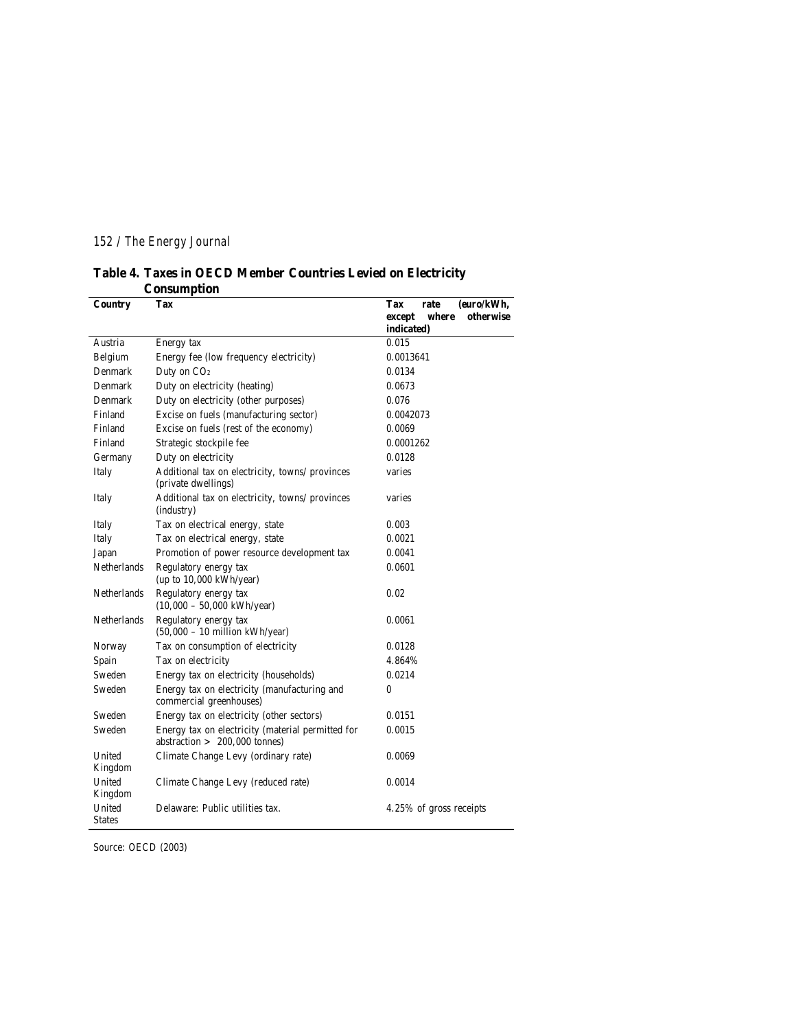|                    | omoumpuon                                                                            |                                                                         |
|--------------------|--------------------------------------------------------------------------------------|-------------------------------------------------------------------------|
| <b>Country</b>     | Tax                                                                                  | Tax<br>(euro/kWh,<br>rate<br>where<br>otherwise<br>except<br>indicated) |
| Austria            | Energy tax                                                                           | 0.015                                                                   |
| Belgium            | Energy fee (low frequency electricity)                                               | 0.0013641                                                               |
| Denmark            | Duty on CO <sub>2</sub>                                                              | 0.0134                                                                  |
| Denmark            | Duty on electricity (heating)                                                        | 0.0673                                                                  |
| Denmark            | Duty on electricity (other purposes)                                                 | 0.076                                                                   |
| Finland            | Excise on fuels (manufacturing sector)                                               | 0.0042073                                                               |
| Finland            | Excise on fuels (rest of the economy)                                                | 0.0069                                                                  |
| Finland            | Strategic stockpile fee                                                              | 0.0001262                                                               |
| Germany            | Duty on electricity                                                                  | 0.0128                                                                  |
| Italy              | Additional tax on electricity, towns/ provinces<br>(private dwellings)               | varies                                                                  |
| Italy              | Additional tax on electricity, towns/ provinces<br>(industry)                        | varies                                                                  |
| Italy              | Tax on electrical energy, state                                                      | 0.003                                                                   |
| Italy              | Tax on electrical energy, state                                                      | 0.0021                                                                  |
| Japan              | Promotion of power resource development tax                                          | 0.0041                                                                  |
| <b>Netherlands</b> | Regulatory energy tax<br>(up to 10,000 kWh/year)                                     | 0.0601                                                                  |
| <b>Netherlands</b> | Regulatory energy tax<br>$(10,000 - 50,000 \text{ kWh/year})$                        | 0.02                                                                    |
| <b>Netherlands</b> | Regulatory energy tax<br>$(50,000 - 10$ million kWh/year)                            | 0.0061                                                                  |
| Norway             | Tax on consumption of electricity                                                    | 0.0128                                                                  |
| Spain              | Tax on electricity                                                                   | 4.864%                                                                  |
| Sweden             | Energy tax on electricity (households)                                               | 0.0214                                                                  |
| Sweden             | Energy tax on electricity (manufacturing and<br>commercial greenhouses)              | 0                                                                       |
| Sweden             | Energy tax on electricity (other sectors)                                            | 0.0151                                                                  |
| Sweden             | Energy tax on electricity (material permitted for<br>abstraction $> 200,000$ tonnes) | 0.0015                                                                  |
| United<br>Kingdom  | Climate Change Levy (ordinary rate)                                                  | 0.0069                                                                  |
| United<br>Kingdom  | Climate Change Levy (reduced rate)                                                   | 0.0014                                                                  |
| United<br>States   | Delaware: Public utilities tax.                                                      | 4.25% of gross receipts                                                 |

# **Table 4. Taxes in OECD Member Countries Levied on Electricity Consumption**

Source: OECD (2003)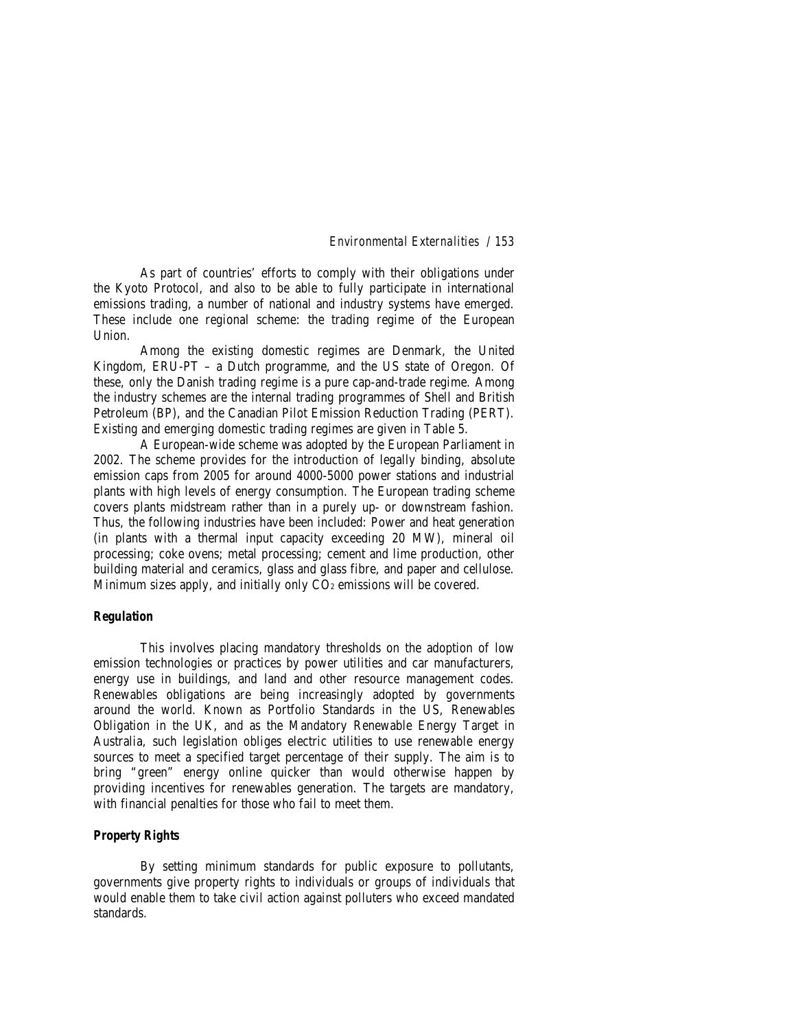As part of countries' efforts to comply with their obligations under the Kyoto Protocol, and also to be able to fully participate in international emissions trading, a number of national and industry systems have emerged. These include one regional scheme: the trading regime of the European Union.

Among the existing domestic regimes are Denmark, the United Kingdom, ERU-PT – a Dutch programme, and the US state of Oregon. Of these, only the Danish trading regime is a pure cap-and-trade regime. Among the industry schemes are the internal trading programmes of Shell and British Petroleum (BP), and the Canadian Pilot Emission Reduction Trading (PERT). Existing and emerging domestic trading regimes are given in Table 5.

A European-wide scheme was adopted by the European Parliament in 2002. The scheme provides for the introduction of legally binding, absolute emission caps from 2005 for around 4000-5000 power stations and industrial plants with high levels of energy consumption. The European trading scheme covers plants midstream rather than in a purely up- or downstream fashion. Thus, the following industries have been included: Power and heat generation (in plants with a thermal input capacity exceeding 20 MW), mineral oil processing; coke ovens; metal processing; cement and lime production, other building material and ceramics, glass and glass fibre, and paper and cellulose. Minimum sizes apply, and initially only  $CO<sub>2</sub>$  emissions will be covered.

### *Regulation*

This involves placing mandatory thresholds on the adoption of low emission technologies or practices by power utilities and car manufacturers, energy use in buildings, and land and other resource management codes. Renewables obligations are being increasingly adopted by governments around the world. Known as Portfolio Standards in the US, Renewables Obligation in the UK, and as the Mandatory Renewable Energy Target in Australia, such legislation obliges electric utilities to use renewable energy sources to meet a specified target percentage of their supply. The aim is to bring "green" energy online quicker than would otherwise happen by providing incentives for renewables generation. The targets are mandatory, with financial penalties for those who fail to meet them.

### *Property Rights*

By setting minimum standards for public exposure to pollutants, governments give property rights to individuals or groups of individuals that would enable them to take civil action against polluters who exceed mandated standards.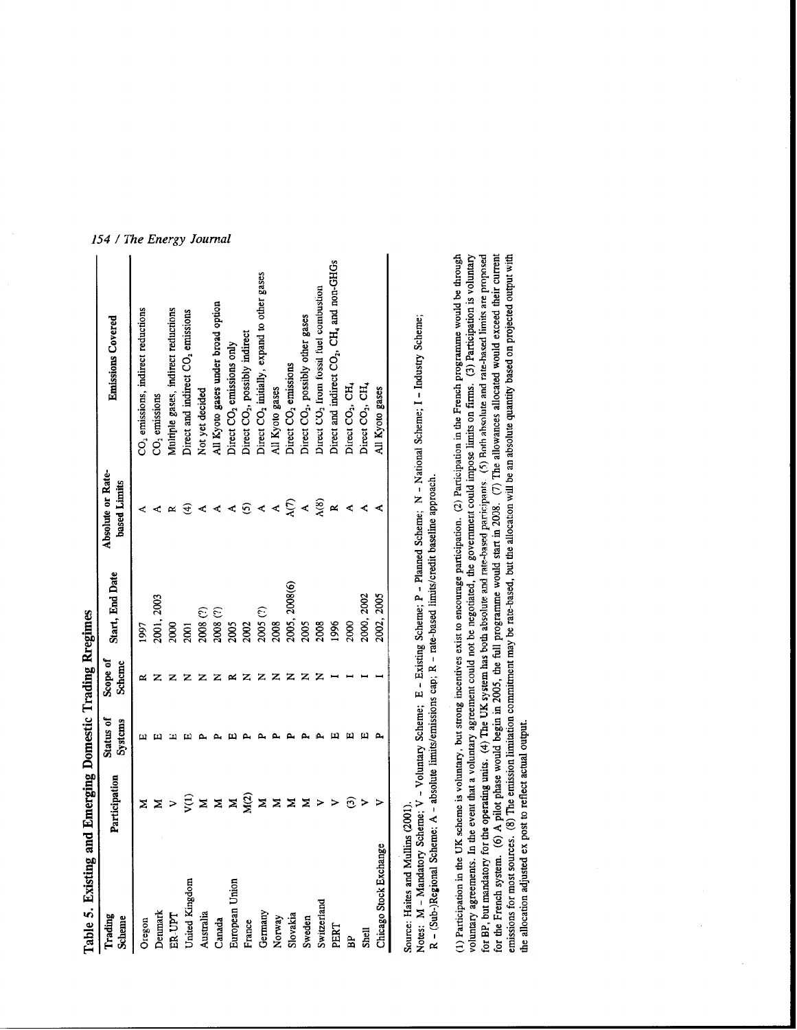| Table 5. Existing and Emerging Domestic Trading Rregimes |                        |                             |                           |                     |                                   |                                                                    |
|----------------------------------------------------------|------------------------|-----------------------------|---------------------------|---------------------|-----------------------------------|--------------------------------------------------------------------|
| Trading<br>Scheme                                        | Participation          | <b>Status of</b><br>Systems | Scope of<br><b>Scheme</b> | Start, End Date     | Absolute or Rate-<br>based Limits | <b>Emissions Covered</b>                                           |
| Oregon                                                   | Σ                      |                             |                           | 1997                |                                   | CO <sub>2</sub> emissions, indirect reductions                     |
| Denmark                                                  | Σ                      |                             |                           | 2001, 2003          |                                   | CO <sub>2</sub> emissions                                          |
| ER-UPT                                                   |                        |                             |                           | 2000                |                                   | Multiple gases, indirect reductions                                |
| United Kingdom                                           | γij.                   |                             |                           | 2001                |                                   | Direct and indirect CO <sub>2</sub> emissions                      |
| Australia                                                | $\geq$                 |                             |                           | 2008 (?)            |                                   | Not yet decided                                                    |
| Canada                                                   | Σ                      |                             |                           | 2008 (?)            |                                   | All Kyoto gases under broad option                                 |
| European Union                                           | Σ                      |                             |                           | 2005                |                                   | Direct CO <sub>2</sub> emissions only                              |
| France                                                   | $\mathbf{M}^{(2)}$     |                             | z                         | 2002                | $\widehat{\mathbf{c}}$            | Direct CO <sub>2</sub> , possibly indirect                         |
| Germany                                                  | Σ                      |                             | z                         | 2005 <sup>(?)</sup> | $\prec$                           | Direct CO <sub>2</sub> initially, expand to other gases            |
| Norway                                                   | Σ                      |                             | z                         | 2008                | ≺                                 | All Kyoto gases                                                    |
| Slovakia                                                 | z                      |                             | z                         | 2005, 2008(6)       | A(T)                              | Direct CO <sub>2</sub> emissions                                   |
| Sweden                                                   | Σ                      |                             | z                         | 2005                | $\blacktriangleleft$              | Direct CO <sub>2</sub> , possibly other gases                      |
| Switzerland                                              |                        |                             |                           | 2008                | A(8)                              | Direct CO <sub>2</sub> from fossil fuel combustion                 |
| PERT                                                     |                        |                             |                           | 1996                | $\approx$                         | Direct and indirect CO <sub>2</sub> , CH <sub>4</sub> and non-GHGs |
|                                                          | $\widehat{\mathbf{c}}$ |                             |                           | 2000                | ∢                                 | Direct CO <sub>2</sub> , CH <sub>4</sub>                           |
| Shell                                                    |                        |                             |                           | 2000, 2002          | ≺                                 | Direct CO <sub>2</sub> , CH <sub>4</sub>                           |
| Chicago Stock Exchange                                   |                        |                             |                           | 2002, 2005          | ረ                                 | All Kyoto gases                                                    |

Source: Haites and Mullins (2001). Source: Haites and Mullins (2001).

Notes: M - Mandatory Scheme; V - Voluntary Scheme; E - Existing Scheme; P - Planned Scheme; N - National Scheme; I - Industry Scheme; Notes: M - Mandatory Scheme; V - Voluntary Scheme; E - Existing Scheme; P - Planned Scheme; N - National Scheme; I - Industry Scheme; R - (Sub-)Regional Scheme: A - absolute limits/emissions cap; R - rate-based limits/credit baseline approach. R - (Sub-)Regional Scheme; A - absolute limits/emissions cap; R - rate-based limits/credit baseline approach.

(1) Participation in the UK scheme is voluntary, but strong incentives exist to encourage participation. (2) Participation in the French programme would be through voluntary agreements. In the event that a voluntary agreement could not be negotiated, the government could impose limits on firms. (3) Participation is voluntary emissions for most sources. (8) The emission limitation commitment may be rate-based, but the allocation will be an absolute quantity based on projected output with (1) Participation in the UK scheme is voluntary, but strong incentives exist to encourage participation. (2) Participation in the French programme would be through voluntary agreements. In the event that a voluntary agreement could not be negotiated, the government could impose limits on firms. (3) Participation is voluntary for BP, but mandatory for the operating units. (4) The UK system has both absolute and rate-based participants. (5) Both absolute and rate-based limits are proposed for BP, but mandatory for the operating units. (4) The UK system has both absolute and rate-based participants. (5) Both absolute and rate-based limits are proposed for the French system. (6) A pilot phase would begin in 2005, the full programme would start in 2008. (7) The allowances allocated would exceed their current for the French system. (6) A pilot phase would begin in 2005, the full programme would start in 2008. (7) The allowances allocated would exceed their current emissions for most sources. (8) The emission limitation commitment may be rate-based, but the allocation will be an absolute quantity based on projected output with the allocation adjusted ex post to reflect actual output. the allocation adjusted ex post to reflect actual output.

# *Re Energy Journal*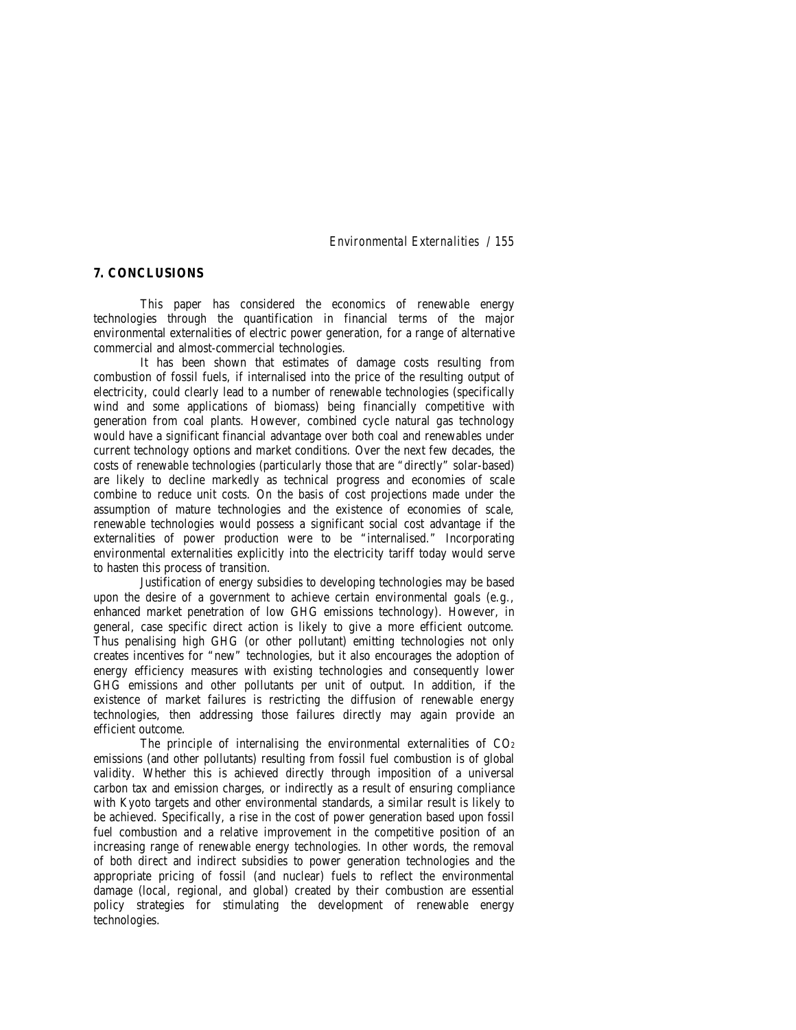### **7. CONCLUSIONS**

This paper has considered the economics of renewable energy technologies through the quantification in financial terms of the major environmental externalities of electric power generation, for a range of alternative commercial and almost-commercial technologies.

It has been shown that estimates of damage costs resulting from combustion of fossil fuels, if internalised into the price of the resulting output of electricity, could clearly lead to a number of renewable technologies (specifically wind and some applications of biomass) being financially competitive with generation from coal plants. However, combined cycle natural gas technology would have a significant financial advantage over both coal and renewables under current technology options and market conditions. Over the next few decades, the costs of renewable technologies (particularly those that are "directly" solar-based) are likely to decline markedly as technical progress and economies of scale combine to reduce unit costs. On the basis of cost projections made under the assumption of mature technologies and the existence of economies of scale, renewable technologies would possess a significant social cost advantage if the externalities of power production were to be "internalised." Incorporating environmental externalities explicitly into the electricity tariff today would serve to hasten this process of transition.

Justification of energy subsidies to developing technologies may be based upon the desire of a government to achieve certain environmental goals (e.g., enhanced market penetration of low GHG emissions technology). However, in general, case specific direct action is likely to give a more efficient outcome. Thus penalising high GHG (or other pollutant) emitting technologies not only creates incentives for "new" technologies, but it also encourages the adoption of energy efficiency measures with existing technologies and consequently lower GHG emissions and other pollutants per unit of output. In addition, if the existence of market failures is restricting the diffusion of renewable energy technologies, then addressing those failures directly may again provide an efficient outcome.

The principle of internalising the environmental externalities of  $CO<sub>2</sub>$ emissions (and other pollutants) resulting from fossil fuel combustion is of global validity. Whether this is achieved directly through imposition of a universal carbon tax and emission charges, or indirectly as a result of ensuring compliance with Kyoto targets and other environmental standards, a similar result is likely to be achieved. Specifically, a rise in the cost of power generation based upon fossil fuel combustion and a relative improvement in the competitive position of an increasing range of renewable energy technologies. In other words, the removal of both direct and indirect subsidies to power generation technologies and the appropriate pricing of fossil (and nuclear) fuels to reflect the environmental damage (local, regional, and global) created by their combustion are essential policy strategies for stimulating the development of renewable energy technologies.